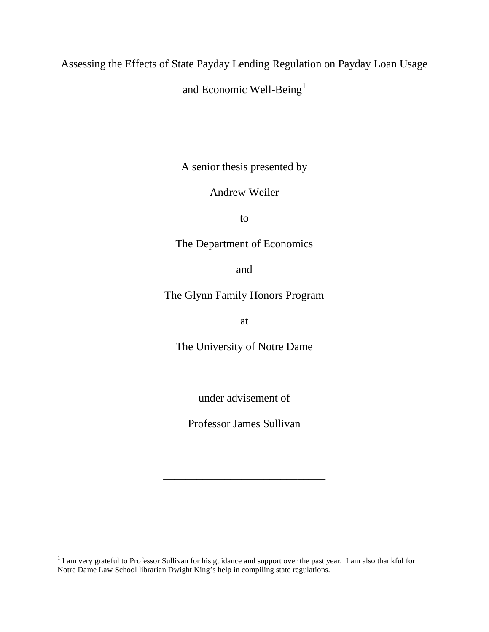Assessing the Effects of State Payday Lending Regulation on Payday Loan Usage

and Economic Well-Being<sup>[1](#page-37-0)</sup>

A senior thesis presented by

Andrew Weiler

to

The Department of Economics

and

The Glynn Family Honors Program

at

The University of Notre Dame

under advisement of

Professor James Sullivan

\_\_\_\_\_\_\_\_\_\_\_\_\_\_\_\_\_\_\_\_\_\_\_\_\_\_\_\_\_

 $1$  I am very grateful to Professor Sullivan for his guidance and support over the past year. I am also thankful for Notre Dame Law School librarian Dwight King's help in compiling state regulations.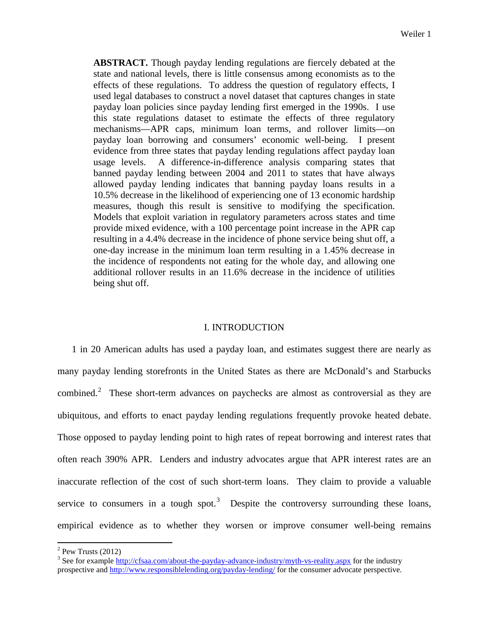**ABSTRACT.** Though payday lending regulations are fiercely debated at the state and national levels, there is little consensus among economists as to the effects of these regulations. To address the question of regulatory effects, I used legal databases to construct a novel dataset that captures changes in state payday loan policies since payday lending first emerged in the 1990s. I use this state regulations dataset to estimate the effects of three regulatory mechanisms—APR caps, minimum loan terms, and rollover limits—on payday loan borrowing and consumers' economic well-being. I present evidence from three states that payday lending regulations affect payday loan usage levels. A difference-in-difference analysis comparing states that banned payday lending between 2004 and 2011 to states that have always allowed payday lending indicates that banning payday loans results in a 10.5% decrease in the likelihood of experiencing one of 13 economic hardship measures, though this result is sensitive to modifying the specification. Models that exploit variation in regulatory parameters across states and time provide mixed evidence, with a 100 percentage point increase in the APR cap resulting in a 4.4% decrease in the incidence of phone service being shut off, a one-day increase in the minimum loan term resulting in a 1.45% decrease in the incidence of respondents not eating for the whole day, and allowing one additional rollover results in an 11.6% decrease in the incidence of utilities being shut off.

# I. INTRODUCTION

1 in 20 American adults has used a payday loan, and estimates suggest there are nearly as many payday lending storefronts in the United States as there are McDonald's and Starbucks combined.<sup>[2](#page-1-0)</sup> These short-term advances on paychecks are almost as controversial as they are ubiquitous, and efforts to enact payday lending regulations frequently provoke heated debate. Those opposed to payday lending point to high rates of repeat borrowing and interest rates that often reach 390% APR. Lenders and industry advocates argue that APR interest rates are an inaccurate reflection of the cost of such short-term loans. They claim to provide a valuable service to consumers in a tough spot.<sup>[3](#page-1-1)</sup> Despite the controversy surrounding these loans, empirical evidence as to whether they worsen or improve consumer well-being remains

 $\overline{\phantom{a}}$ 

 $2$  Pew Trusts (2012)

<span id="page-1-1"></span><span id="page-1-0"></span><sup>&</sup>lt;sup>3</sup> See for example<http://cfsaa.com/about-the-payday-advance-industry/myth-vs-reality.aspx> for the industry prospective and<http://www.responsiblelending.org/payday-lending/> for the consumer advocate perspective.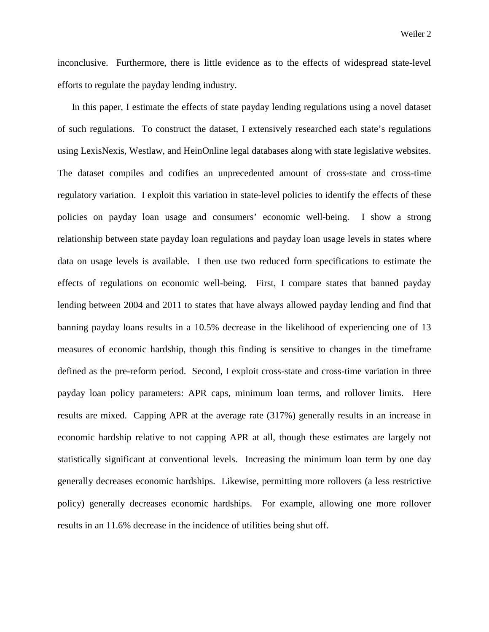inconclusive. Furthermore, there is little evidence as to the effects of widespread state-level efforts to regulate the payday lending industry.

In this paper, I estimate the effects of state payday lending regulations using a novel dataset of such regulations. To construct the dataset, I extensively researched each state's regulations using LexisNexis, Westlaw, and HeinOnline legal databases along with state legislative websites. The dataset compiles and codifies an unprecedented amount of cross-state and cross-time regulatory variation. I exploit this variation in state-level policies to identify the effects of these policies on payday loan usage and consumers' economic well-being. I show a strong relationship between state payday loan regulations and payday loan usage levels in states where data on usage levels is available. I then use two reduced form specifications to estimate the effects of regulations on economic well-being. First, I compare states that banned payday lending between 2004 and 2011 to states that have always allowed payday lending and find that banning payday loans results in a 10.5% decrease in the likelihood of experiencing one of 13 measures of economic hardship, though this finding is sensitive to changes in the timeframe defined as the pre-reform period. Second, I exploit cross-state and cross-time variation in three payday loan policy parameters: APR caps, minimum loan terms, and rollover limits. Here results are mixed. Capping APR at the average rate (317%) generally results in an increase in economic hardship relative to not capping APR at all, though these estimates are largely not statistically significant at conventional levels. Increasing the minimum loan term by one day generally decreases economic hardships. Likewise, permitting more rollovers (a less restrictive policy) generally decreases economic hardships. For example, allowing one more rollover results in an 11.6% decrease in the incidence of utilities being shut off.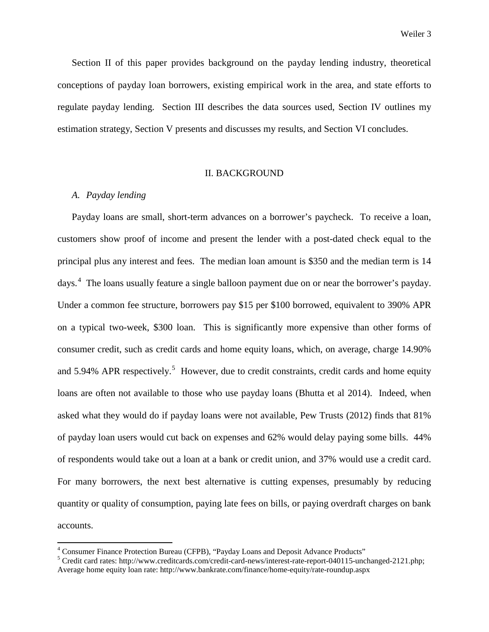Weiler 3

Section II of this paper provides background on the payday lending industry, theoretical conceptions of payday loan borrowers, existing empirical work in the area, and state efforts to regulate payday lending. Section III describes the data sources used, Section IV outlines my estimation strategy, Section V presents and discusses my results, and Section VI concludes.

# II. BACKGROUND

# *A. Payday lending*

 $\overline{\phantom{a}}$ 

Payday loans are small, short-term advances on a borrower's paycheck. To receive a loan, customers show proof of income and present the lender with a post-dated check equal to the principal plus any interest and fees. The median loan amount is \$350 and the median term is 14 days.<sup>[4](#page-3-0)</sup> The loans usually feature a single balloon payment due on or near the borrower's payday. Under a common fee structure, borrowers pay \$15 per \$100 borrowed, equivalent to 390% APR on a typical two-week, \$300 loan. This is significantly more expensive than other forms of consumer credit, such as credit cards and home equity loans, which, on average, charge 14.90% and [5](#page-3-1).94% APR respectively.<sup>5</sup> However, due to credit constraints, credit cards and home equity loans are often not available to those who use payday loans (Bhutta et al 2014). Indeed, when asked what they would do if payday loans were not available, Pew Trusts (2012) finds that 81% of payday loan users would cut back on expenses and 62% would delay paying some bills. 44% of respondents would take out a loan at a bank or credit union, and 37% would use a credit card. For many borrowers, the next best alternative is cutting expenses, presumably by reducing quantity or quality of consumption, paying late fees on bills, or paying overdraft charges on bank accounts.

<span id="page-3-0"></span><sup>&</sup>lt;sup>4</sup> Consumer Finance Protection Bureau (CFPB), "Payday Loans and Deposit Advance Products"

<span id="page-3-1"></span><sup>&</sup>lt;sup>5</sup> Credit card rates: http://www.creditcards.com/credit-card-news/interest-rate-report-040115-unchanged-2121.php; Average home equity loan rate: http://www.bankrate.com/finance/home-equity/rate-roundup.aspx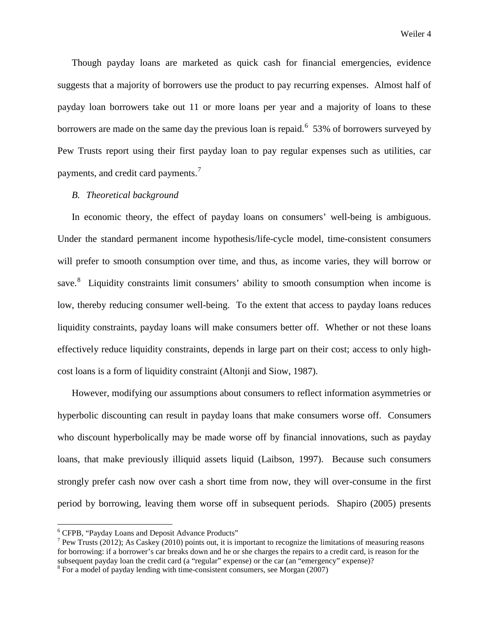Though payday loans are marketed as quick cash for financial emergencies, evidence suggests that a majority of borrowers use the product to pay recurring expenses. Almost half of payday loan borrowers take out 11 or more loans per year and a majority of loans to these borrowers are made on the same day the previous loan is repaid.<sup>[6](#page-4-0)</sup> 53% of borrowers surveyed by Pew Trusts report using their first payday loan to pay regular expenses such as utilities, car payments, and credit card payments. $^7$  $^7$ 

## *B. Theoretical background*

In economic theory, the effect of payday loans on consumers' well-being is ambiguous. Under the standard permanent income hypothesis/life-cycle model, time-consistent consumers will prefer to smooth consumption over time, and thus, as income varies, they will borrow or save.<sup>[8](#page-4-2)</sup> Liquidity constraints limit consumers' ability to smooth consumption when income is low, thereby reducing consumer well-being. To the extent that access to payday loans reduces liquidity constraints, payday loans will make consumers better off. Whether or not these loans effectively reduce liquidity constraints, depends in large part on their cost; access to only highcost loans is a form of liquidity constraint (Altonji and Siow, 1987).

However, modifying our assumptions about consumers to reflect information asymmetries or hyperbolic discounting can result in payday loans that make consumers worse off. Consumers who discount hyperbolically may be made worse off by financial innovations, such as payday loans, that make previously illiquid assets liquid (Laibson, 1997). Because such consumers strongly prefer cash now over cash a short time from now, they will over-consume in the first period by borrowing, leaving them worse off in subsequent periods. Shapiro (2005) presents

 $\overline{\phantom{a}}$ 

<span id="page-4-0"></span><sup>6</sup> CFPB, "Payday Loans and Deposit Advance Products"

<span id="page-4-1"></span><sup>&</sup>lt;sup>7</sup> Pew Trusts (2012); As Caskey (2010) points out, it is important to recognize the limitations of measuring reasons for borrowing: if a borrower's car breaks down and he or she charges the repairs to a credit card, is reason for the subsequent payday loan the credit card (a "regular" expense) or the car (an "emergency" expense)?

<span id="page-4-2"></span> $8$  For a model of payday lending with time-consistent consumers, see Morgan (2007)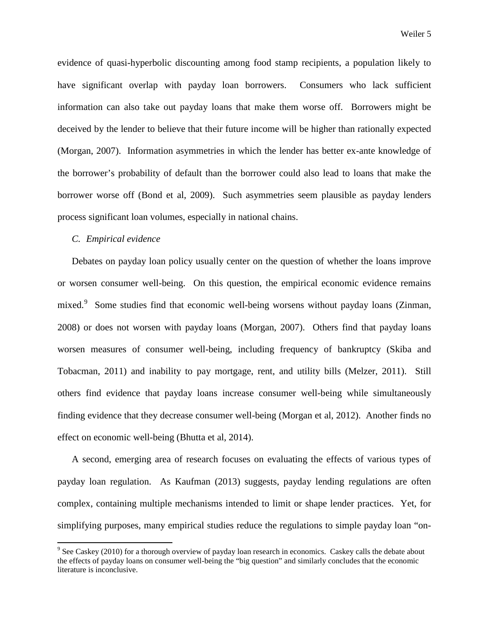evidence of quasi-hyperbolic discounting among food stamp recipients, a population likely to have significant overlap with payday loan borrowers. Consumers who lack sufficient information can also take out payday loans that make them worse off. Borrowers might be deceived by the lender to believe that their future income will be higher than rationally expected (Morgan, 2007). Information asymmetries in which the lender has better ex-ante knowledge of the borrower's probability of default than the borrower could also lead to loans that make the borrower worse off (Bond et al, 2009). Such asymmetries seem plausible as payday lenders process significant loan volumes, especially in national chains.

# *C. Empirical evidence*

 $\overline{\phantom{a}}$ 

Debates on payday loan policy usually center on the question of whether the loans improve or worsen consumer well-being. On this question, the empirical economic evidence remains mixed.<sup>[9](#page-5-0)</sup> Some studies find that economic well-being worsens without payday loans (Zinman, 2008) or does not worsen with payday loans (Morgan, 2007). Others find that payday loans worsen measures of consumer well-being, including frequency of bankruptcy (Skiba and Tobacman, 2011) and inability to pay mortgage, rent, and utility bills (Melzer, 2011). Still others find evidence that payday loans increase consumer well-being while simultaneously finding evidence that they decrease consumer well-being (Morgan et al, 2012). Another finds no effect on economic well-being (Bhutta et al, 2014).

A second, emerging area of research focuses on evaluating the effects of various types of payday loan regulation. As Kaufman (2013) suggests, payday lending regulations are often complex, containing multiple mechanisms intended to limit or shape lender practices. Yet, for simplifying purposes, many empirical studies reduce the regulations to simple payday loan "on-

<span id="page-5-0"></span><sup>&</sup>lt;sup>9</sup> See Caskey (2010) for a thorough overview of payday loan research in economics. Caskey calls the debate about the effects of payday loans on consumer well-being the "big question" and similarly concludes that the economic literature is inconclusive.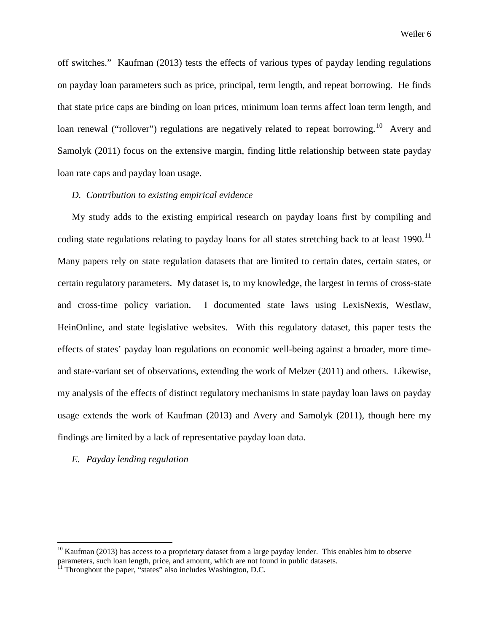off switches." Kaufman (2013) tests the effects of various types of payday lending regulations on payday loan parameters such as price, principal, term length, and repeat borrowing. He finds that state price caps are binding on loan prices, minimum loan terms affect loan term length, and loan renewal ("rollover") regulations are negatively related to repeat borrowing.<sup>[10](#page-6-0)</sup> Avery and Samolyk (2011) focus on the extensive margin, finding little relationship between state payday loan rate caps and payday loan usage.

# *D. Contribution to existing empirical evidence*

My study adds to the existing empirical research on payday loans first by compiling and coding state regulations relating to payday loans for all states stretching back to at least 1990.<sup>[11](#page-6-1)</sup> Many papers rely on state regulation datasets that are limited to certain dates, certain states, or certain regulatory parameters. My dataset is, to my knowledge, the largest in terms of cross-state and cross-time policy variation. I documented state laws using LexisNexis, Westlaw, HeinOnline, and state legislative websites. With this regulatory dataset, this paper tests the effects of states' payday loan regulations on economic well-being against a broader, more timeand state-variant set of observations, extending the work of Melzer (2011) and others. Likewise, my analysis of the effects of distinct regulatory mechanisms in state payday loan laws on payday usage extends the work of Kaufman (2013) and Avery and Samolyk (2011), though here my findings are limited by a lack of representative payday loan data.

## *E. Payday lending regulation*

 $\overline{\phantom{a}}$ 

<span id="page-6-0"></span> $10$  Kaufman (2013) has access to a proprietary dataset from a large payday lender. This enables him to observe parameters, such loan length, price, and amount, which are not found in public datasets. 11 Throughout the paper, "states" also includes Washington, D.C.

<span id="page-6-1"></span>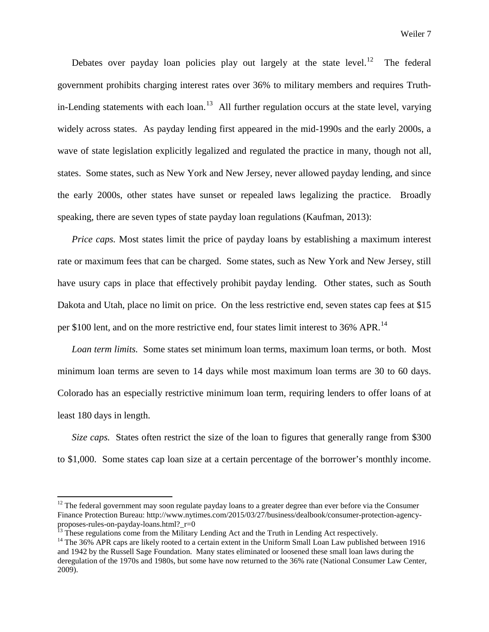Debates over payday loan policies play out largely at the state level.<sup>12</sup> The federal government prohibits charging interest rates over 36% to military members and requires Truthin-Lending statements with each loan.<sup>13</sup> All further regulation occurs at the state level, varying widely across states. As payday lending first appeared in the mid-1990s and the early 2000s, a wave of state legislation explicitly legalized and regulated the practice in many, though not all, states. Some states, such as New York and New Jersey, never allowed payday lending, and since the early 2000s, other states have sunset or repealed laws legalizing the practice. Broadly speaking, there are seven types of state payday loan regulations (Kaufman, 2013):

*Price caps.* Most states limit the price of payday loans by establishing a maximum interest rate or maximum fees that can be charged. Some states, such as New York and New Jersey, still have usury caps in place that effectively prohibit payday lending. Other states, such as South Dakota and Utah, place no limit on price. On the less restrictive end, seven states cap fees at \$15 per \$100 lent, and on the more restrictive end, four states limit interest to 36% APR.<sup>[14](#page-7-2)</sup>

*Loan term limits.* Some states set minimum loan terms, maximum loan terms, or both. Most minimum loan terms are seven to 14 days while most maximum loan terms are 30 to 60 days. Colorado has an especially restrictive minimum loan term, requiring lenders to offer loans of at least 180 days in length.

*Size caps.* States often restrict the size of the loan to figures that generally range from \$300 to \$1,000. Some states cap loan size at a certain percentage of the borrower's monthly income.

 $\overline{\phantom{a}}$ 

<span id="page-7-0"></span> $12$  The federal government may soon regulate payday loans to a greater degree than ever before via the Consumer Finance Protection Bureau: http://www.nytimes.com/2015/03/27/business/dealbook/consumer-protection-agencyproposes-rules-on-payday-loans.html?\_r=0<br><sup>13</sup> These regulations come from the Military Lending Act and the Truth in Lending Act respectively.<br><sup>14</sup> The 36% APR caps are likely rooted to a certain extent in the Uniform Small

<span id="page-7-1"></span>

<span id="page-7-2"></span>and 1942 by the Russell Sage Foundation. Many states eliminated or loosened these small loan laws during the deregulation of the 1970s and 1980s, but some have now returned to the 36% rate (National Consumer Law Center, 2009).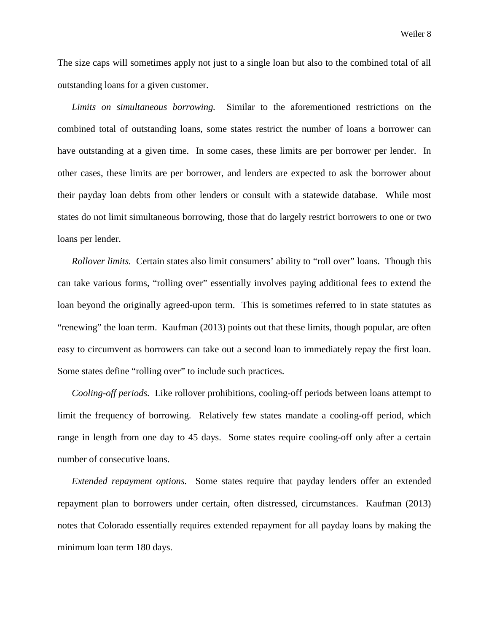The size caps will sometimes apply not just to a single loan but also to the combined total of all outstanding loans for a given customer.

*Limits on simultaneous borrowing.* Similar to the aforementioned restrictions on the combined total of outstanding loans, some states restrict the number of loans a borrower can have outstanding at a given time. In some cases, these limits are per borrower per lender. In other cases, these limits are per borrower, and lenders are expected to ask the borrower about their payday loan debts from other lenders or consult with a statewide database. While most states do not limit simultaneous borrowing, those that do largely restrict borrowers to one or two loans per lender.

*Rollover limits.* Certain states also limit consumers' ability to "roll over" loans. Though this can take various forms, "rolling over" essentially involves paying additional fees to extend the loan beyond the originally agreed-upon term. This is sometimes referred to in state statutes as "renewing" the loan term. Kaufman (2013) points out that these limits, though popular, are often easy to circumvent as borrowers can take out a second loan to immediately repay the first loan. Some states define "rolling over" to include such practices.

*Cooling-off periods.* Like rollover prohibitions, cooling-off periods between loans attempt to limit the frequency of borrowing. Relatively few states mandate a cooling-off period, which range in length from one day to 45 days. Some states require cooling-off only after a certain number of consecutive loans.

*Extended repayment options.* Some states require that payday lenders offer an extended repayment plan to borrowers under certain, often distressed, circumstances. Kaufman (2013) notes that Colorado essentially requires extended repayment for all payday loans by making the minimum loan term 180 days.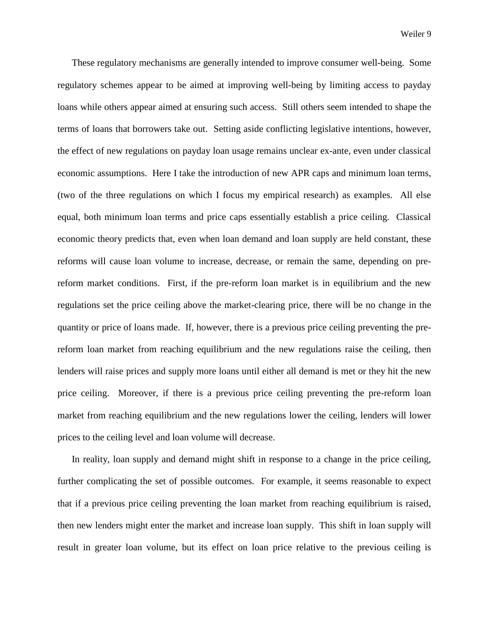These regulatory mechanisms are generally intended to improve consumer well-being. Some regulatory schemes appear to be aimed at improving well-being by limiting access to payday loans while others appear aimed at ensuring such access. Still others seem intended to shape the terms of loans that borrowers take out. Setting aside conflicting legislative intentions, however, the effect of new regulations on payday loan usage remains unclear ex-ante, even under classical economic assumptions. Here I take the introduction of new APR caps and minimum loan terms, (two of the three regulations on which I focus my empirical research) as examples. All else equal, both minimum loan terms and price caps essentially establish a price ceiling. Classical economic theory predicts that, even when loan demand and loan supply are held constant, these reforms will cause loan volume to increase, decrease, or remain the same, depending on prereform market conditions. First, if the pre-reform loan market is in equilibrium and the new regulations set the price ceiling above the market-clearing price, there will be no change in the quantity or price of loans made. If, however, there is a previous price ceiling preventing the prereform loan market from reaching equilibrium and the new regulations raise the ceiling, then lenders will raise prices and supply more loans until either all demand is met or they hit the new price ceiling. Moreover, if there is a previous price ceiling preventing the pre-reform loan market from reaching equilibrium and the new regulations lower the ceiling, lenders will lower prices to the ceiling level and loan volume will decrease.

In reality, loan supply and demand might shift in response to a change in the price ceiling, further complicating the set of possible outcomes. For example, it seems reasonable to expect that if a previous price ceiling preventing the loan market from reaching equilibrium is raised, then new lenders might enter the market and increase loan supply. This shift in loan supply will result in greater loan volume, but its effect on loan price relative to the previous ceiling is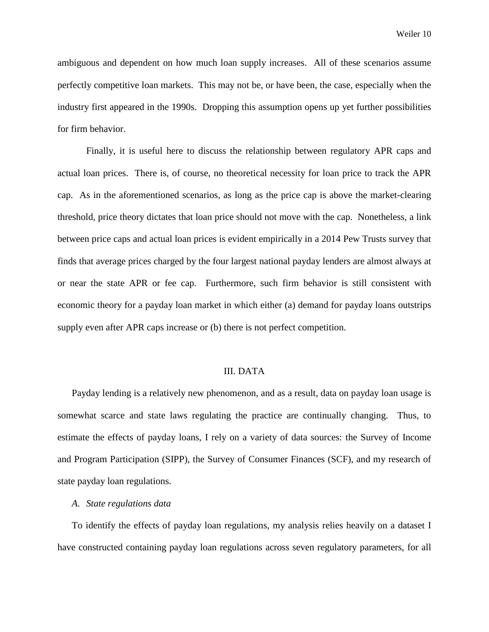ambiguous and dependent on how much loan supply increases. All of these scenarios assume perfectly competitive loan markets. This may not be, or have been, the case, especially when the industry first appeared in the 1990s. Dropping this assumption opens up yet further possibilities for firm behavior.

Finally, it is useful here to discuss the relationship between regulatory APR caps and actual loan prices. There is, of course, no theoretical necessity for loan price to track the APR cap. As in the aforementioned scenarios, as long as the price cap is above the market-clearing threshold, price theory dictates that loan price should not move with the cap. Nonetheless, a link between price caps and actual loan prices is evident empirically in a 2014 Pew Trusts survey that finds that average prices charged by the four largest national payday lenders are almost always at or near the state APR or fee cap. Furthermore, such firm behavior is still consistent with economic theory for a payday loan market in which either (a) demand for payday loans outstrips supply even after APR caps increase or (b) there is not perfect competition.

#### III. DATA

Payday lending is a relatively new phenomenon, and as a result, data on payday loan usage is somewhat scarce and state laws regulating the practice are continually changing. Thus, to estimate the effects of payday loans, I rely on a variety of data sources: the Survey of Income and Program Participation (SIPP), the Survey of Consumer Finances (SCF), and my research of state payday loan regulations.

#### *A. State regulations data*

To identify the effects of payday loan regulations, my analysis relies heavily on a dataset I have constructed containing payday loan regulations across seven regulatory parameters, for all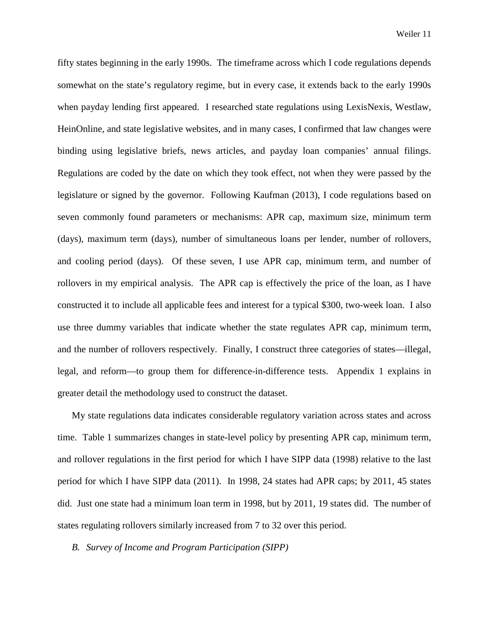fifty states beginning in the early 1990s. The timeframe across which I code regulations depends somewhat on the state's regulatory regime, but in every case, it extends back to the early 1990s when payday lending first appeared. I researched state regulations using LexisNexis, Westlaw, HeinOnline, and state legislative websites, and in many cases, I confirmed that law changes were binding using legislative briefs, news articles, and payday loan companies' annual filings. Regulations are coded by the date on which they took effect, not when they were passed by the legislature or signed by the governor. Following Kaufman (2013), I code regulations based on seven commonly found parameters or mechanisms: APR cap, maximum size, minimum term (days), maximum term (days), number of simultaneous loans per lender, number of rollovers, and cooling period (days). Of these seven, I use APR cap, minimum term, and number of rollovers in my empirical analysis. The APR cap is effectively the price of the loan, as I have constructed it to include all applicable fees and interest for a typical \$300, two-week loan. I also use three dummy variables that indicate whether the state regulates APR cap, minimum term, and the number of rollovers respectively. Finally, I construct three categories of states—illegal, legal, and reform—to group them for difference-in-difference tests. Appendix 1 explains in greater detail the methodology used to construct the dataset.

My state regulations data indicates considerable regulatory variation across states and across time. Table 1 summarizes changes in state-level policy by presenting APR cap, minimum term, and rollover regulations in the first period for which I have SIPP data (1998) relative to the last period for which I have SIPP data (2011). In 1998, 24 states had APR caps; by 2011, 45 states did. Just one state had a minimum loan term in 1998, but by 2011, 19 states did. The number of states regulating rollovers similarly increased from 7 to 32 over this period.

# *B. Survey of Income and Program Participation (SIPP)*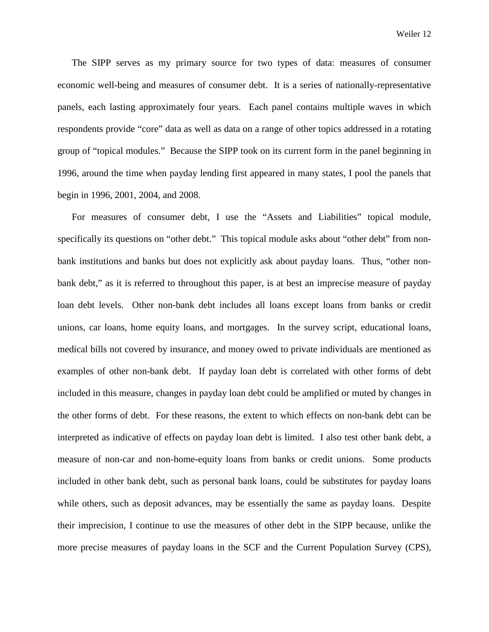The SIPP serves as my primary source for two types of data: measures of consumer economic well-being and measures of consumer debt. It is a series of nationally-representative panels, each lasting approximately four years. Each panel contains multiple waves in which respondents provide "core" data as well as data on a range of other topics addressed in a rotating group of "topical modules." Because the SIPP took on its current form in the panel beginning in 1996, around the time when payday lending first appeared in many states, I pool the panels that begin in 1996, 2001, 2004, and 2008.

For measures of consumer debt, I use the "Assets and Liabilities" topical module, specifically its questions on "other debt." This topical module asks about "other debt" from nonbank institutions and banks but does not explicitly ask about payday loans. Thus, "other nonbank debt," as it is referred to throughout this paper, is at best an imprecise measure of payday loan debt levels. Other non-bank debt includes all loans except loans from banks or credit unions, car loans, home equity loans, and mortgages. In the survey script, educational loans, medical bills not covered by insurance, and money owed to private individuals are mentioned as examples of other non-bank debt. If payday loan debt is correlated with other forms of debt included in this measure, changes in payday loan debt could be amplified or muted by changes in the other forms of debt. For these reasons, the extent to which effects on non-bank debt can be interpreted as indicative of effects on payday loan debt is limited. I also test other bank debt, a measure of non-car and non-home-equity loans from banks or credit unions. Some products included in other bank debt, such as personal bank loans, could be substitutes for payday loans while others, such as deposit advances, may be essentially the same as payday loans. Despite their imprecision, I continue to use the measures of other debt in the SIPP because, unlike the more precise measures of payday loans in the SCF and the Current Population Survey (CPS),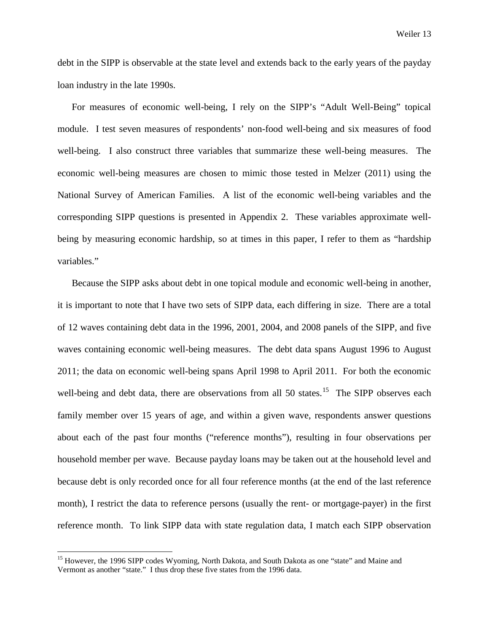debt in the SIPP is observable at the state level and extends back to the early years of the payday loan industry in the late 1990s.

For measures of economic well-being, I rely on the SIPP's "Adult Well-Being" topical module. I test seven measures of respondents' non-food well-being and six measures of food well-being. I also construct three variables that summarize these well-being measures. The economic well-being measures are chosen to mimic those tested in Melzer (2011) using the National Survey of American Families. A list of the economic well-being variables and the corresponding SIPP questions is presented in Appendix 2. These variables approximate wellbeing by measuring economic hardship, so at times in this paper, I refer to them as "hardship variables."

Because the SIPP asks about debt in one topical module and economic well-being in another, it is important to note that I have two sets of SIPP data, each differing in size. There are a total of 12 waves containing debt data in the 1996, 2001, 2004, and 2008 panels of the SIPP, and five waves containing economic well-being measures. The debt data spans August 1996 to August 2011; the data on economic well-being spans April 1998 to April 2011. For both the economic well-being and debt data, there are observations from all  $50$  states.<sup>[15](#page-13-0)</sup> The SIPP observes each family member over 15 years of age, and within a given wave, respondents answer questions about each of the past four months ("reference months"), resulting in four observations per household member per wave. Because payday loans may be taken out at the household level and because debt is only recorded once for all four reference months (at the end of the last reference month), I restrict the data to reference persons (usually the rent- or mortgage-payer) in the first reference month. To link SIPP data with state regulation data, I match each SIPP observation

<span id="page-13-0"></span><sup>&</sup>lt;sup>15</sup> However, the 1996 SIPP codes Wyoming, North Dakota, and South Dakota as one "state" and Maine and Vermont as another "state." I thus drop these five states from the 1996 data.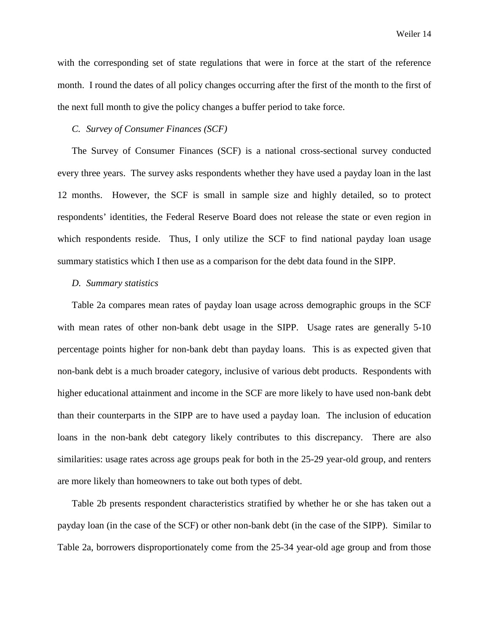with the corresponding set of state regulations that were in force at the start of the reference month. I round the dates of all policy changes occurring after the first of the month to the first of the next full month to give the policy changes a buffer period to take force.

## *C. Survey of Consumer Finances (SCF)*

The Survey of Consumer Finances (SCF) is a national cross-sectional survey conducted every three years. The survey asks respondents whether they have used a payday loan in the last 12 months. However, the SCF is small in sample size and highly detailed, so to protect respondents' identities, the Federal Reserve Board does not release the state or even region in which respondents reside. Thus, I only utilize the SCF to find national payday loan usage summary statistics which I then use as a comparison for the debt data found in the SIPP.

#### *D. Summary statistics*

Table 2a compares mean rates of payday loan usage across demographic groups in the SCF with mean rates of other non-bank debt usage in the SIPP. Usage rates are generally 5-10 percentage points higher for non-bank debt than payday loans. This is as expected given that non-bank debt is a much broader category, inclusive of various debt products. Respondents with higher educational attainment and income in the SCF are more likely to have used non-bank debt than their counterparts in the SIPP are to have used a payday loan. The inclusion of education loans in the non-bank debt category likely contributes to this discrepancy. There are also similarities: usage rates across age groups peak for both in the 25-29 year-old group, and renters are more likely than homeowners to take out both types of debt.

Table 2b presents respondent characteristics stratified by whether he or she has taken out a payday loan (in the case of the SCF) or other non-bank debt (in the case of the SIPP). Similar to Table 2a, borrowers disproportionately come from the 25-34 year-old age group and from those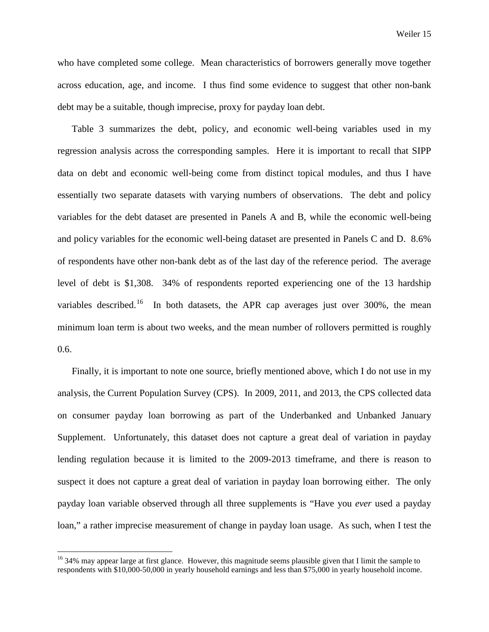who have completed some college. Mean characteristics of borrowers generally move together across education, age, and income. I thus find some evidence to suggest that other non-bank debt may be a suitable, though imprecise, proxy for payday loan debt.

Table 3 summarizes the debt, policy, and economic well-being variables used in my regression analysis across the corresponding samples. Here it is important to recall that SIPP data on debt and economic well-being come from distinct topical modules, and thus I have essentially two separate datasets with varying numbers of observations. The debt and policy variables for the debt dataset are presented in Panels A and B, while the economic well-being and policy variables for the economic well-being dataset are presented in Panels C and D. 8.6% of respondents have other non-bank debt as of the last day of the reference period. The average level of debt is \$1,308. 34% of respondents reported experiencing one of the 13 hardship variables described.<sup>[16](#page-15-0)</sup> In both datasets, the APR cap averages just over 300%, the mean minimum loan term is about two weeks, and the mean number of rollovers permitted is roughly 0.6.

Finally, it is important to note one source, briefly mentioned above, which I do not use in my analysis, the Current Population Survey (CPS). In 2009, 2011, and 2013, the CPS collected data on consumer payday loan borrowing as part of the Underbanked and Unbanked January Supplement. Unfortunately, this dataset does not capture a great deal of variation in payday lending regulation because it is limited to the 2009-2013 timeframe, and there is reason to suspect it does not capture a great deal of variation in payday loan borrowing either. The only payday loan variable observed through all three supplements is "Have you *ever* used a payday loan," a rather imprecise measurement of change in payday loan usage. As such, when I test the

<span id="page-15-0"></span><sup>&</sup>lt;sup>16</sup> 34% may appear large at first glance. However, this magnitude seems plausible given that I limit the sample to respondents with \$10,000-50,000 in yearly household earnings and less than \$75,000 in yearly household income.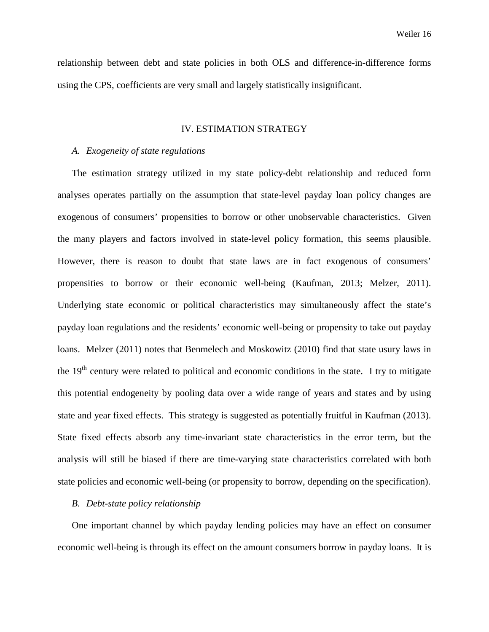relationship between debt and state policies in both OLS and difference-in-difference forms using the CPS, coefficients are very small and largely statistically insignificant.

# IV. ESTIMATION STRATEGY

#### *A. Exogeneity of state regulations*

The estimation strategy utilized in my state policy-debt relationship and reduced form analyses operates partially on the assumption that state-level payday loan policy changes are exogenous of consumers' propensities to borrow or other unobservable characteristics. Given the many players and factors involved in state-level policy formation, this seems plausible. However, there is reason to doubt that state laws are in fact exogenous of consumers' propensities to borrow or their economic well-being (Kaufman, 2013; Melzer, 2011). Underlying state economic or political characteristics may simultaneously affect the state's payday loan regulations and the residents' economic well-being or propensity to take out payday loans. Melzer (2011) notes that Benmelech and Moskowitz (2010) find that state usury laws in the  $19<sup>th</sup>$  century were related to political and economic conditions in the state. I try to mitigate this potential endogeneity by pooling data over a wide range of years and states and by using state and year fixed effects. This strategy is suggested as potentially fruitful in Kaufman (2013). State fixed effects absorb any time-invariant state characteristics in the error term, but the analysis will still be biased if there are time-varying state characteristics correlated with both state policies and economic well-being (or propensity to borrow, depending on the specification).

#### *B. Debt-state policy relationship*

One important channel by which payday lending policies may have an effect on consumer economic well-being is through its effect on the amount consumers borrow in payday loans. It is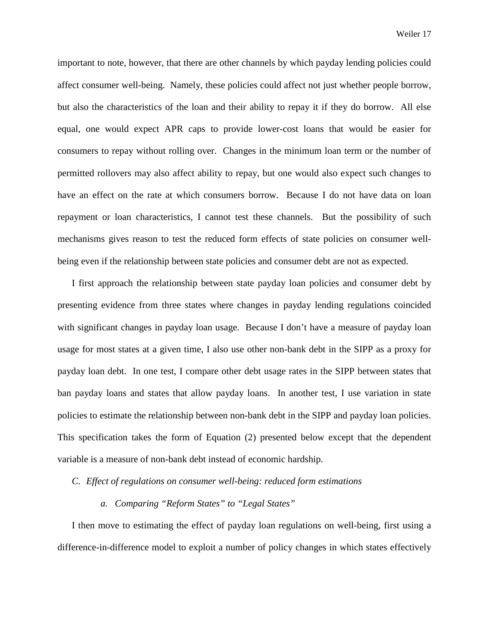important to note, however, that there are other channels by which payday lending policies could affect consumer well-being. Namely, these policies could affect not just whether people borrow, but also the characteristics of the loan and their ability to repay it if they do borrow. All else equal, one would expect APR caps to provide lower-cost loans that would be easier for consumers to repay without rolling over. Changes in the minimum loan term or the number of permitted rollovers may also affect ability to repay, but one would also expect such changes to have an effect on the rate at which consumers borrow. Because I do not have data on loan repayment or loan characteristics, I cannot test these channels. But the possibility of such mechanisms gives reason to test the reduced form effects of state policies on consumer wellbeing even if the relationship between state policies and consumer debt are not as expected.

I first approach the relationship between state payday loan policies and consumer debt by presenting evidence from three states where changes in payday lending regulations coincided with significant changes in payday loan usage. Because I don't have a measure of payday loan usage for most states at a given time, I also use other non-bank debt in the SIPP as a proxy for payday loan debt. In one test, I compare other debt usage rates in the SIPP between states that ban payday loans and states that allow payday loans. In another test, I use variation in state policies to estimate the relationship between non-bank debt in the SIPP and payday loan policies. This specification takes the form of Equation (2) presented below except that the dependent variable is a measure of non-bank debt instead of economic hardship.

*C. Effect of regulations on consumer well-being: reduced form estimations*

# *a. Comparing "Reform States" to "Legal States"*

I then move to estimating the effect of payday loan regulations on well-being, first using a difference-in-difference model to exploit a number of policy changes in which states effectively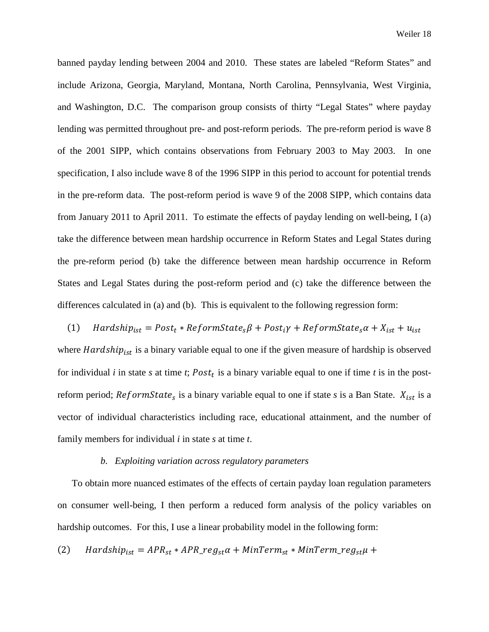banned payday lending between 2004 and 2010. These states are labeled "Reform States" and include Arizona, Georgia, Maryland, Montana, North Carolina, Pennsylvania, West Virginia, and Washington, D.C. The comparison group consists of thirty "Legal States" where payday lending was permitted throughout pre- and post-reform periods. The pre-reform period is wave 8 of the 2001 SIPP, which contains observations from February 2003 to May 2003. In one specification, I also include wave 8 of the 1996 SIPP in this period to account for potential trends in the pre-reform data. The post-reform period is wave 9 of the 2008 SIPP, which contains data from January 2011 to April 2011. To estimate the effects of payday lending on well-being, I (a) take the difference between mean hardship occurrence in Reform States and Legal States during the pre-reform period (b) take the difference between mean hardship occurrence in Reform States and Legal States during the post-reform period and (c) take the difference between the differences calculated in (a) and (b). This is equivalent to the following regression form:

(1)  $Hardship_{ist} = Post_t * ReformState_s\beta + Post_i\gamma + ReformState_s\alpha + X_{ist} + u_{ist}$ where  $Hardship_{ist}$  is a binary variable equal to one if the given measure of hardship is observed for individual  $i$  in state  $s$  at time  $t$ ;  $Post<sub>t</sub>$  is a binary variable equal to one if time  $t$  is in the postreform period;  $ReformState<sub>s</sub>$  is a binary variable equal to one if state *s* is a Ban State.  $X_{ist}$  is a vector of individual characteristics including race, educational attainment, and the number of family members for individual *i* in state *s* at time *t*.

#### *b. Exploiting variation across regulatory parameters*

To obtain more nuanced estimates of the effects of certain payday loan regulation parameters on consumer well-being, I then perform a reduced form analysis of the policy variables on hardship outcomes. For this, I use a linear probability model in the following form:

(2) 
$$
Hardship_{ist} = APR_{st} * APR\_reg_{st}\alpha + MinTerm_{st} * MinTerm\_reg_{st}\mu +
$$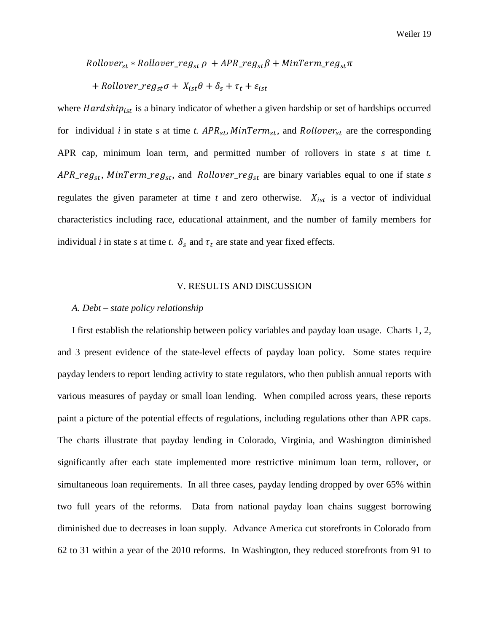$Rollover_{st} * Rollover\_reg_{st} \rho + APR\_reg_{st} \beta + MinTerm\_reg_{st} \pi$ 

+ Rollover\_ $reg_{st}\sigma + X_{ist}\theta + \delta_s + \tau_t + \varepsilon_{ist}$ 

where  $Hardship_{ist}$  is a binary indicator of whether a given hardship or set of hardships occurred for individual *i* in state *s* at time *t.*  $APR_{st}$ ,  $MinTerm_{st}$ , and  $Rollover_{st}$  are the corresponding APR cap, minimum loan term, and permitted number of rollovers in state *s* at time *t.*  $APR\_reg_{st}$ ,  $MinTerm\_reg_{st}$ , and  $Rollover\_reg_{st}$  are binary variables equal to one if state *s* regulates the given parameter at time  $t$  and zero otherwise.  $X_{ist}$  is a vector of individual characteristics including race, educational attainment, and the number of family members for individual *i* in state *s* at time *t*.  $\delta_s$  and  $\tau_t$  are state and year fixed effects.

# V. RESULTS AND DISCUSSION

# *A. Debt – state policy relationship*

I first establish the relationship between policy variables and payday loan usage. Charts 1, 2, and 3 present evidence of the state-level effects of payday loan policy. Some states require payday lenders to report lending activity to state regulators, who then publish annual reports with various measures of payday or small loan lending. When compiled across years, these reports paint a picture of the potential effects of regulations, including regulations other than APR caps. The charts illustrate that payday lending in Colorado, Virginia, and Washington diminished significantly after each state implemented more restrictive minimum loan term, rollover, or simultaneous loan requirements. In all three cases, payday lending dropped by over 65% within two full years of the reforms. Data from national payday loan chains suggest borrowing diminished due to decreases in loan supply. Advance America cut storefronts in Colorado from 62 to 31 within a year of the 2010 reforms. In Washington, they reduced storefronts from 91 to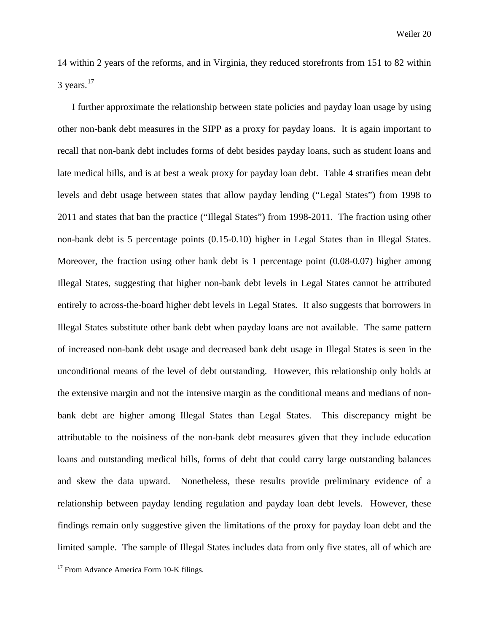14 within 2 years of the reforms, and in Virginia, they reduced storefronts from 151 to 82 within  $3$  years.<sup>[17](#page-20-0)</sup>

I further approximate the relationship between state policies and payday loan usage by using other non-bank debt measures in the SIPP as a proxy for payday loans. It is again important to recall that non-bank debt includes forms of debt besides payday loans, such as student loans and late medical bills, and is at best a weak proxy for payday loan debt. Table 4 stratifies mean debt levels and debt usage between states that allow payday lending ("Legal States") from 1998 to 2011 and states that ban the practice ("Illegal States") from 1998-2011. The fraction using other non-bank debt is 5 percentage points (0.15-0.10) higher in Legal States than in Illegal States. Moreover, the fraction using other bank debt is 1 percentage point (0.08-0.07) higher among Illegal States, suggesting that higher non-bank debt levels in Legal States cannot be attributed entirely to across-the-board higher debt levels in Legal States. It also suggests that borrowers in Illegal States substitute other bank debt when payday loans are not available. The same pattern of increased non-bank debt usage and decreased bank debt usage in Illegal States is seen in the unconditional means of the level of debt outstanding. However, this relationship only holds at the extensive margin and not the intensive margin as the conditional means and medians of nonbank debt are higher among Illegal States than Legal States. This discrepancy might be attributable to the noisiness of the non-bank debt measures given that they include education loans and outstanding medical bills, forms of debt that could carry large outstanding balances and skew the data upward. Nonetheless, these results provide preliminary evidence of a relationship between payday lending regulation and payday loan debt levels. However, these findings remain only suggestive given the limitations of the proxy for payday loan debt and the limited sample. The sample of Illegal States includes data from only five states, all of which are

<span id="page-20-0"></span><sup>&</sup>lt;sup>17</sup> From Advance America Form 10-K filings.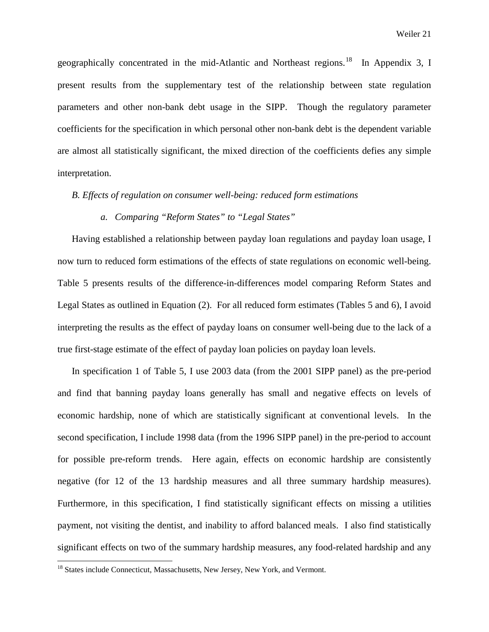geographically concentrated in the mid-Atlantic and Northeast regions.<sup>[18](#page-21-0)</sup> In Appendix 3, I present results from the supplementary test of the relationship between state regulation parameters and other non-bank debt usage in the SIPP. Though the regulatory parameter coefficients for the specification in which personal other non-bank debt is the dependent variable are almost all statistically significant, the mixed direction of the coefficients defies any simple interpretation.

# *B. Effects of regulation on consumer well-being: reduced form estimations*

# *a. Comparing "Reform States" to "Legal States"*

Having established a relationship between payday loan regulations and payday loan usage, I now turn to reduced form estimations of the effects of state regulations on economic well-being. Table 5 presents results of the difference-in-differences model comparing Reform States and Legal States as outlined in Equation (2). For all reduced form estimates (Tables 5 and 6), I avoid interpreting the results as the effect of payday loans on consumer well-being due to the lack of a true first-stage estimate of the effect of payday loan policies on payday loan levels.

In specification 1 of Table 5, I use 2003 data (from the 2001 SIPP panel) as the pre-period and find that banning payday loans generally has small and negative effects on levels of economic hardship, none of which are statistically significant at conventional levels. In the second specification, I include 1998 data (from the 1996 SIPP panel) in the pre-period to account for possible pre-reform trends. Here again, effects on economic hardship are consistently negative (for 12 of the 13 hardship measures and all three summary hardship measures). Furthermore, in this specification, I find statistically significant effects on missing a utilities payment, not visiting the dentist, and inability to afford balanced meals. I also find statistically significant effects on two of the summary hardship measures, any food-related hardship and any

<span id="page-21-0"></span><sup>&</sup>lt;sup>18</sup> States include Connecticut, Massachusetts, New Jersey, New York, and Vermont.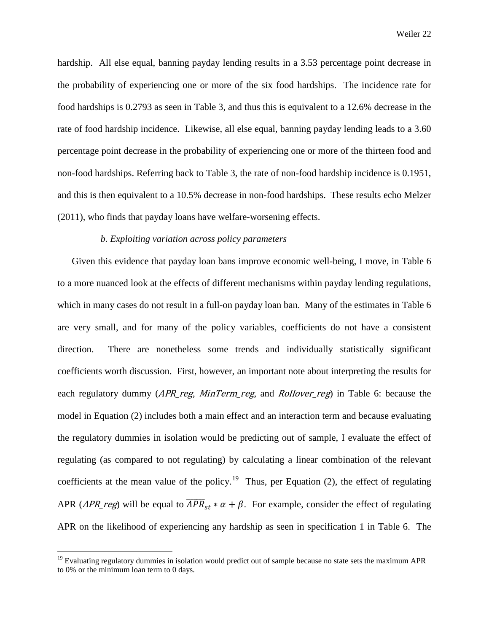hardship. All else equal, banning payday lending results in a 3.53 percentage point decrease in the probability of experiencing one or more of the six food hardships. The incidence rate for food hardships is 0.2793 as seen in Table 3, and thus this is equivalent to a 12.6% decrease in the rate of food hardship incidence. Likewise, all else equal, banning payday lending leads to a 3.60 percentage point decrease in the probability of experiencing one or more of the thirteen food and non-food hardships. Referring back to Table 3, the rate of non-food hardship incidence is 0.1951, and this is then equivalent to a 10.5% decrease in non-food hardships. These results echo Melzer (2011), who finds that payday loans have welfare-worsening effects.

# *b. Exploiting variation across policy parameters*

Given this evidence that payday loan bans improve economic well-being, I move, in Table 6 to a more nuanced look at the effects of different mechanisms within payday lending regulations, which in many cases do not result in a full-on payday loan ban. Many of the estimates in Table 6 are very small, and for many of the policy variables, coefficients do not have a consistent direction. There are nonetheless some trends and individually statistically significant coefficients worth discussion. First, however, an important note about interpreting the results for each regulatory dummy (*APR reg, MinTerm reg,* and *Rollover reg*) in Table 6: because the model in Equation (2) includes both a main effect and an interaction term and because evaluating the regulatory dummies in isolation would be predicting out of sample, I evaluate the effect of regulating (as compared to not regulating) by calculating a linear combination of the relevant coefficients at the mean value of the policy.<sup>[19](#page-22-0)</sup> Thus, per Equation (2), the effect of regulating APR (*APR\_reg*) will be equal to  $\overline{APR}_{st} * \alpha + \beta$ . For example, consider the effect of regulating APR on the likelihood of experiencing any hardship as seen in specification 1 in Table 6. The

<span id="page-22-0"></span><sup>&</sup>lt;sup>19</sup> Evaluating regulatory dummies in isolation would predict out of sample because no state sets the maximum APR to 0% or the minimum loan term to 0 days.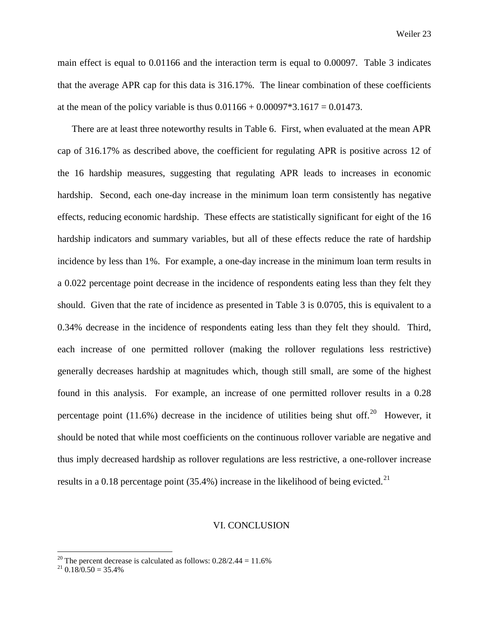main effect is equal to 0.01166 and the interaction term is equal to 0.00097. Table 3 indicates that the average APR cap for this data is 316.17%. The linear combination of these coefficients at the mean of the policy variable is thus  $0.01166 + 0.00097*3.1617 = 0.01473$ .

There are at least three noteworthy results in Table 6. First, when evaluated at the mean APR cap of 316.17% as described above, the coefficient for regulating APR is positive across 12 of the 16 hardship measures, suggesting that regulating APR leads to increases in economic hardship. Second, each one-day increase in the minimum loan term consistently has negative effects, reducing economic hardship. These effects are statistically significant for eight of the 16 hardship indicators and summary variables, but all of these effects reduce the rate of hardship incidence by less than 1%. For example, a one-day increase in the minimum loan term results in a 0.022 percentage point decrease in the incidence of respondents eating less than they felt they should. Given that the rate of incidence as presented in Table 3 is 0.0705, this is equivalent to a 0.34% decrease in the incidence of respondents eating less than they felt they should. Third, each increase of one permitted rollover (making the rollover regulations less restrictive) generally decreases hardship at magnitudes which, though still small, are some of the highest found in this analysis. For example, an increase of one permitted rollover results in a 0.28 percentage point  $(11.6%)$  decrease in the incidence of utilities being shut off.<sup>20</sup> However, it should be noted that while most coefficients on the continuous rollover variable are negative and thus imply decreased hardship as rollover regulations are less restrictive, a one-rollover increase results in a 0.18 percentage point  $(35.4\%)$  increase in the likelihood of being evicted.<sup>21</sup>

#### VI. CONCLUSION

<span id="page-23-0"></span><sup>&</sup>lt;sup>20</sup> The percent decrease is calculated as follows:  $0.28/2.44 = 11.6\%$ <br><sup>21</sup>  $0.18/0.50 = 35.4\%$ 

<span id="page-23-1"></span>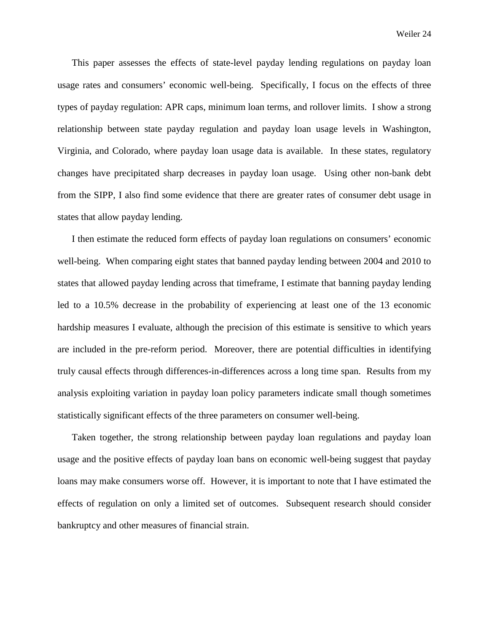This paper assesses the effects of state-level payday lending regulations on payday loan usage rates and consumers' economic well-being. Specifically, I focus on the effects of three types of payday regulation: APR caps, minimum loan terms, and rollover limits. I show a strong relationship between state payday regulation and payday loan usage levels in Washington, Virginia, and Colorado, where payday loan usage data is available. In these states, regulatory changes have precipitated sharp decreases in payday loan usage. Using other non-bank debt from the SIPP, I also find some evidence that there are greater rates of consumer debt usage in states that allow payday lending.

I then estimate the reduced form effects of payday loan regulations on consumers' economic well-being. When comparing eight states that banned payday lending between 2004 and 2010 to states that allowed payday lending across that timeframe, I estimate that banning payday lending led to a 10.5% decrease in the probability of experiencing at least one of the 13 economic hardship measures I evaluate, although the precision of this estimate is sensitive to which years are included in the pre-reform period. Moreover, there are potential difficulties in identifying truly causal effects through differences-in-differences across a long time span. Results from my analysis exploiting variation in payday loan policy parameters indicate small though sometimes statistically significant effects of the three parameters on consumer well-being.

Taken together, the strong relationship between payday loan regulations and payday loan usage and the positive effects of payday loan bans on economic well-being suggest that payday loans may make consumers worse off. However, it is important to note that I have estimated the effects of regulation on only a limited set of outcomes. Subsequent research should consider bankruptcy and other measures of financial strain.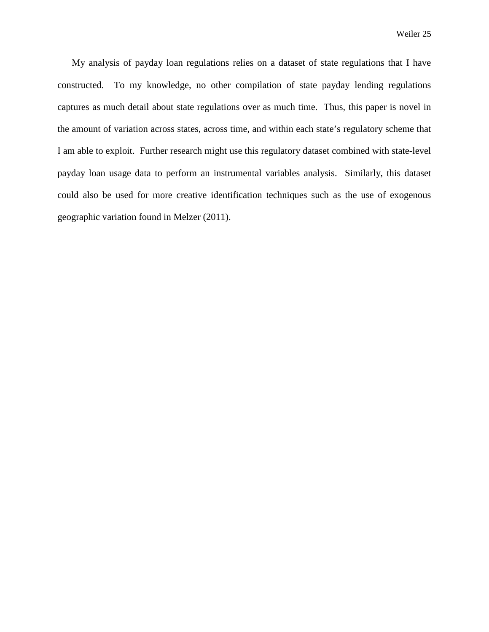My analysis of payday loan regulations relies on a dataset of state regulations that I have constructed. To my knowledge, no other compilation of state payday lending regulations captures as much detail about state regulations over as much time. Thus, this paper is novel in the amount of variation across states, across time, and within each state's regulatory scheme that I am able to exploit. Further research might use this regulatory dataset combined with state-level payday loan usage data to perform an instrumental variables analysis. Similarly, this dataset could also be used for more creative identification techniques such as the use of exogenous geographic variation found in Melzer (2011).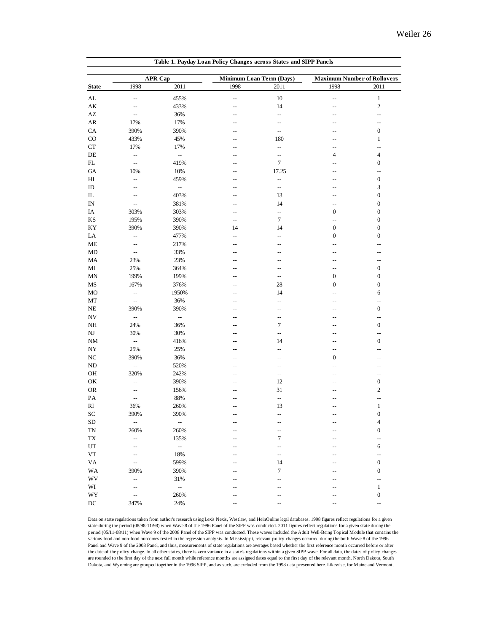|                        |                          | <b>APR Cap</b>                   | Minimum Loan Term (Days) |                          | <b>Maximum Number of Rollovers</b> |                                    |
|------------------------|--------------------------|----------------------------------|--------------------------|--------------------------|------------------------------------|------------------------------------|
| <b>State</b>           | 1998                     | 2011                             | 1998                     | 2011                     | 1998                               | 2011                               |
| $\mathbf{AL}$          | $\overline{\phantom{a}}$ | 455%                             | $\overline{\phantom{a}}$ | 10                       | $\overline{\phantom{a}}$           | $\mathbf{1}$                       |
| AK                     | $\overline{\phantom{m}}$ | 433%                             | $-$                      | 14                       | $-$                                | $\mathfrak{2}$                     |
| $\mathbf{A}\mathbf{Z}$ | --                       | 36%                              | $\overline{a}$           | $\overline{\phantom{a}}$ | $-$                                | $\overline{a}$                     |
| AR                     | 17%                      | 17%                              | --                       | $\overline{a}$           | --                                 | $\overline{\phantom{a}}$           |
| CA                     | 390%                     | 390%                             | --                       | $\overline{\phantom{a}}$ |                                    | $\boldsymbol{0}$                   |
| $_{\rm CO}$            | 433%                     | 45%                              |                          | 180                      |                                    | $\mathbf{1}$                       |
| ${\cal C}{\cal T}$     | 17%                      | 17%                              | --                       | --                       | $\overline{a}$                     | $\overline{\phantom{a}}$           |
| $\rm DE$               | $\overline{\phantom{a}}$ | $\overline{\phantom{a}}$         | $-$                      | $\overline{\phantom{a}}$ | 4                                  | 4                                  |
| ${\rm FL}$             | $\overline{\phantom{a}}$ | 419%                             |                          | $\overline{7}$           |                                    | $\boldsymbol{0}$                   |
| ${\rm GA}$             | 10%                      | 10%                              | --<br>$-$                | 17.25                    | --<br>$-$                          | $\overline{\phantom{a}}$           |
|                        |                          |                                  |                          |                          |                                    |                                    |
| $H$ I                  | $\overline{\phantom{a}}$ | 459%<br>$\overline{\phantom{a}}$ | $-$                      | $\overline{\phantom{a}}$ | --                                 | $\boldsymbol{0}$<br>$\mathfrak{Z}$ |
| ID                     | $\overline{a}$           |                                  | --                       | $\overline{\phantom{a}}$ | --                                 |                                    |
| $\rm IL$               | $-$                      | 403%                             | $\overline{a}$           | 13                       |                                    | $\boldsymbol{0}$                   |
| IN                     | --                       | 381%                             | --                       | 14                       | --                                 | $\boldsymbol{0}$                   |
| IA                     | 303%                     | 303%                             | $-$                      | --                       | $\boldsymbol{0}$                   | $\boldsymbol{0}$                   |
| $\mathbf{K}\mathbf{S}$ | 195%                     | 390%                             | $\overline{\phantom{a}}$ | $\tau$                   | $\overline{a}$                     | $\boldsymbol{0}$                   |
| KY                     | 390%                     | 390%                             | 14                       | 14                       | $\boldsymbol{0}$                   | $\boldsymbol{0}$                   |
| LA                     | $\overline{\phantom{a}}$ | 477%                             | $\overline{\phantom{a}}$ | $-$                      | $\boldsymbol{0}$                   | $\boldsymbol{0}$                   |
| ME                     | --                       | 217%                             | $\overline{a}$           | $-$                      | ۵.                                 | $-$                                |
| MD                     | $\overline{\phantom{a}}$ | 33%                              | --                       | --                       | --                                 | --                                 |
| MA                     | 23%                      | 23%                              | $-1$                     | $-$                      | Ξ.                                 | $\overline{a}$                     |
| MI                     | 25%                      | 364%                             | --                       | --                       | --                                 | $\boldsymbol{0}$                   |
| MN                     | 199%                     | 199%                             | $-$                      | $\overline{\phantom{a}}$ | $\boldsymbol{0}$                   | $\boldsymbol{0}$                   |
| MS                     | 167%                     | 376%                             | $-$                      | 28                       | $\boldsymbol{0}$                   | $\boldsymbol{0}$                   |
| MO                     | $\overline{\phantom{a}}$ | 1950%                            | --                       | 14                       | --                                 | 6                                  |
| MT                     | $\overline{\phantom{a}}$ | 36%                              | --                       | --                       |                                    | $\overline{\phantom{a}}$           |
| NE                     | 390%                     | 390%                             |                          | --                       |                                    | $\boldsymbol{0}$                   |
| NV                     | $\overline{\phantom{a}}$ | $\overline{\phantom{a}}$         | --                       | $-$                      | --                                 | $\overline{\phantom{a}}$           |
| $\rm NH$               | 24%                      | 36%                              | $\overline{a}$           | $\tau$                   | --                                 | $\boldsymbol{0}$                   |
| $_{\rm NJ}$            | 30%                      | 30%                              | --                       | $\overline{\phantom{a}}$ | --                                 | $\overline{\phantom{a}}$           |
| <b>NM</b>              | $\overline{\phantom{a}}$ | 416%                             | $\overline{\phantom{a}}$ | 14                       |                                    | $\boldsymbol{0}$                   |
| NY                     | 25%                      | 25%                              | $-$                      | $-$                      | $\overline{a}$                     | $-$                                |
| $_{\mathrm{NC}}$       | 390%                     | 36%                              |                          | $\overline{a}$           | $\boldsymbol{0}$                   | --                                 |
| ${\rm ND}$             | $\overline{\phantom{a}}$ | 520%                             | --                       | --                       |                                    | --                                 |
| OH                     | 320%                     | 242%                             |                          | $\overline{\phantom{a}}$ | --                                 | $\overline{\phantom{a}}$           |
| OK                     | $\overline{\phantom{a}}$ | 390%                             | --                       | 12                       | $-1$                               | 0                                  |
| ${\sf OR}$             | $\overline{\phantom{a}}$ | 156%                             |                          | 31                       | Ξ.                                 | $\mathbf{2}$                       |
| PA                     | $\overline{\phantom{a}}$ | 88%                              | $-1$                     | $\overline{\phantom{a}}$ | --                                 | $\overline{\phantom{a}}$           |
| $\mathbf{R}\mathbf{I}$ | 36%                      | 260%                             | $\overline{a}$           | 13                       |                                    | $\mathbf{1}$                       |
| SC                     | 390%                     | 390%                             | $\overline{\phantom{a}}$ | --                       | $\overline{a}$                     | $\boldsymbol{0}$                   |
| SD                     | $\overline{\phantom{a}}$ | $\overline{\phantom{a}}$         | $\overline{a}$           | $\overline{a}$           |                                    | $\overline{4}$                     |
| <b>TN</b>              | 260%                     | 260%                             | $\overline{a}$           | $\overline{a}$           | $-$                                | $\boldsymbol{0}$                   |
| TX                     | --                       | 135%                             | --                       | 7                        |                                    | --                                 |
| UT                     | $-$                      | $\mathbb{H}^{\mathbb{Z}}$        |                          | $-$                      |                                    | 6                                  |
| ${\rm VT}$             | $\overline{\phantom{m}}$ | 18%                              | $-1$                     | $-$                      |                                    | $\overline{\phantom{a}}$           |
| <b>VA</b>              | $\overline{\phantom{a}}$ | 599%                             |                          | 14                       |                                    | $\boldsymbol{0}$                   |
| WA                     | 390%                     | 390%                             |                          | 7                        |                                    | $\boldsymbol{0}$                   |
| WV                     | $\overline{\phantom{a}}$ | 31%                              |                          | $-$                      |                                    | $\ddot{\phantom{a}}$               |
| WI                     | $\overline{\phantom{a}}$ | $\mathbb{L}^2$                   | $-1$                     | $-$                      |                                    | $\mathbf{1}$                       |
| WY                     | $\overline{\phantom{a}}$ | 260%                             |                          | --                       |                                    | $\boldsymbol{0}$                   |
|                        |                          |                                  |                          |                          |                                    |                                    |

Data on state regulations taken from author's research using Lexis Nexis, Westlaw, and HeinOnline legal databases. 1998 figures reflect regulations for a given state during the period (08/98-11/98) when Wave 8 of the 1996 Panel of the SIPP was conducted. 2011 figures reflect regulations for a given state during the period (05/11-08/11) when Wave 9 of the 2008 Panel of the SIPP was conducted. These waves included the Adult Well-Being Topical Module that contains the various food and non-food outcomes tested in the regression analysis. In Mississippi, relevant policy changes occurred during the both Wave 8 of the 1996 Panel and Wave 9 of the 2008 Panel, and thus, measurements of state regulations are averages based whether the first reference month occurred before or after the date of the policy change. In all other states, there is zero variance in a state's regulations within a given SIPP wave. For all data, the dates of policy changes are rounded to the first day of the next full month while reference months are assigned dates equal to the first day of the relevant month. North Dakota, South Dakota, and Wyoming are grouped together in the 1996 SIPP, and as such, are excluded from the 1998 data presented here. Likewise, for Maine and Vermont.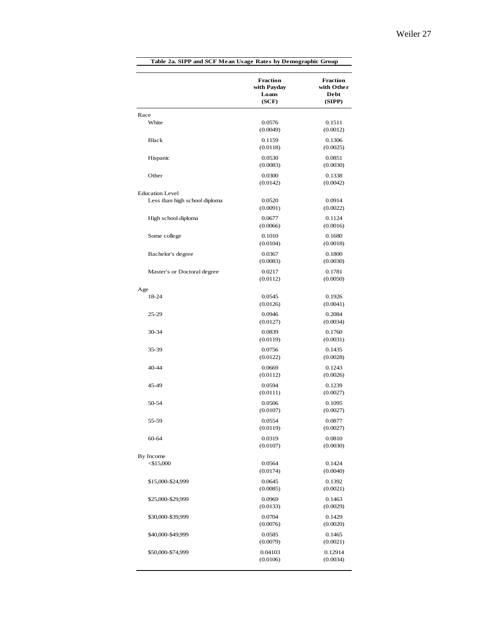|                               | <b>Fraction</b><br>with Payday<br>Loans<br>(SCF) | <b>Fraction</b><br>with Other<br>Debt<br>(SIPP) |
|-------------------------------|--------------------------------------------------|-------------------------------------------------|
| Race                          |                                                  |                                                 |
| White                         | 0.0576<br>(0.0049)                               | 0.1511<br>(0.0012)                              |
| Black                         | 0.1159<br>(0.0118)                               | 0.1306<br>(0.0025)                              |
| Hispanic                      | 0.0530<br>(0.0083)                               | 0.0851<br>(0.0030)                              |
| Other                         | 0.0300<br>(0.0142)                               | 0.1338<br>(0.0042)                              |
| <b>Education Level</b>        |                                                  |                                                 |
| Less than high school diploma | 0.0520<br>(0.0091)                               | 0.0914<br>(0.0022)                              |
| High school diploma           | 0.0677<br>(0.0066)                               | 0.1124<br>(0.0016)                              |
| Some college                  | 0.1010<br>(0.0104)                               | 0.1680<br>(0.0018)                              |
| Bachelor's degree             | 0.0367<br>(0.0083)                               | 0.1800<br>(0.0030)                              |
| Master's or Doctoral degree   | 0.0217<br>(0.0112)                               | 0.1781<br>(0.0050)                              |
| Age                           |                                                  |                                                 |
| 18-24                         | 0.0545<br>(0.0126)                               | 0.1926<br>(0.0041)                              |
| 25-29                         | 0.0946<br>(0.0127)                               | 0.2084<br>(0.0034)                              |
| 30-34                         | 0.0839<br>(0.0119)                               | 0.1760<br>(0.0031)                              |
| 35-39                         | 0.0756<br>(0.0122)                               | 0.1435<br>(0.0028)                              |
| $40 - 44$                     | 0.0669<br>(0.0112)                               | 0.1243<br>(0.0026)                              |
| 45-49                         | 0.0594<br>(0.0111)                               | 0.1239<br>(0.0027)                              |
| 50-54                         | 0.0506<br>(0.0107)                               | 0.1095<br>(0.0027)                              |
| 55-59                         | 0.0554<br>(0.0119)                               | 0.0877<br>(0.0027)                              |
| $60 - 64$                     | 0.0319<br>(0.0107)                               | 0.0810<br>(0.0030)                              |
| By Income<br>$<$ \$15,000     | 0.0564<br>(0.0174)                               | 0.1424<br>(0.0040)                              |
| \$15,000-\$24,999             | 0.0645<br>(0.0085)                               | 0.1392<br>(0.0021)                              |
| \$25,000-\$29,999             | 0.0969<br>(0.0133)                               | 0.1463<br>(0.0029)                              |
| \$30,000-\$39,999             | 0.0704<br>(0.0076)                               | 0.1429<br>(0.0020)                              |
| \$40,000-\$49,999             | 0.0585<br>(0.0079)                               | 0.1465<br>(0.0021)                              |
| \$50,000-\$74,999             | 0.04103<br>(0.0106)                              | 0.12914<br>(0.0034)                             |
|                               |                                                  |                                                 |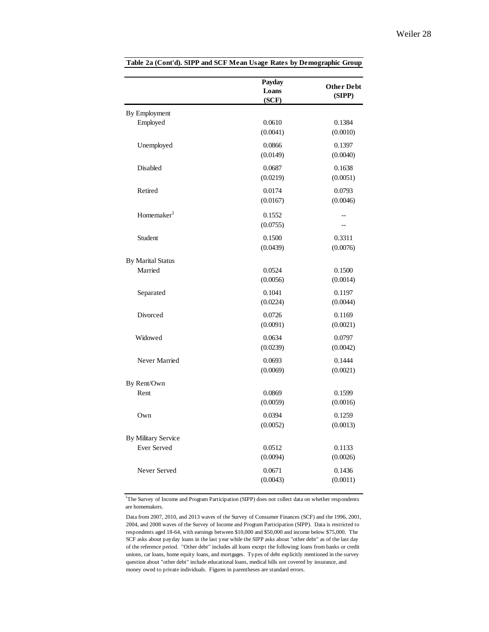|                            | Payday<br>Loans<br>(SCF) | <b>Other Debt</b><br>(SIPP) |
|----------------------------|--------------------------|-----------------------------|
| By Employment              |                          |                             |
| Employed                   | 0.0610                   | 0.1384                      |
|                            | (0.0041)                 | (0.0010)                    |
| Unemployed                 | 0.0866                   | 0.1397                      |
|                            | (0.0149)                 | (0.0040)                    |
| Disabled                   | 0.0687                   | 0.1638                      |
|                            | (0.0219)                 | (0.0051)                    |
| Retired                    | 0.0174                   | 0.0793                      |
|                            | (0.0167)                 | (0.0046)                    |
| Homemaker <sup>1</sup>     | 0.1552                   |                             |
|                            | (0.0755)                 |                             |
| Student                    | 0.1500                   | 0.3311                      |
|                            | (0.0439)                 | (0.0076)                    |
| <b>By Marital Status</b>   |                          |                             |
| Married                    | 0.0524                   | 0.1500                      |
|                            | (0.0056)                 | (0.0014)                    |
| Separated                  | 0.1041                   | 0.1197                      |
|                            | (0.0224)                 | (0.0044)                    |
| Divorced                   | 0.0726                   | 0.1169                      |
|                            | (0.0091)                 | (0.0021)                    |
| Widowed                    | 0.0634                   | 0.0797                      |
|                            | (0.0239)                 | (0.0042)                    |
| Never Married              | 0.0693                   | 0.1444                      |
|                            | (0.0069)                 | (0.0021)                    |
| By Rent/Own                |                          |                             |
| Rent                       | 0.0869                   | 0.1599                      |
|                            | (0.0059)                 | (0.0016)                    |
| Own                        | 0.0394                   | 0.1259                      |
|                            | (0.0052)                 | (0.0013)                    |
| <b>By Military Service</b> |                          |                             |
| <b>Ever Served</b>         | 0.0512                   | 0.1133                      |
|                            | (0.0094)                 | (0.0026)                    |
| Never Served               | 0.0671                   | 0.1436                      |
|                            | (0.0043)                 | (0.0011)                    |

<sup>1</sup>The Survey of Income and Program Participation (SIPP) does not collect data on whether respondents are homemakers.

Data from 2007, 2010, and 2013 waves of the Survey of Consumer Finances (SCF) and the 1996, 2001, 2004, and 2008 waves of the Survey of Income and Program Participation (SIPP). Data is restricted to respondents aged 18-64, with earnings between \$10,000 and \$50,000 and income below \$75,000. The SCF asks about payday loans in the last year while the SIPP asks about "other debt" as of the last day of the reference period. "Other debt" includes all loans except the following: loans from banks or credit unions, car loans, home equity loans, and mortgages. Types of debt explicitly mentioned in the survey question about "other debt" include educational loans, medical bills not covered by insurance, and money owed to private individuals. Figures in parentheses are standard errors.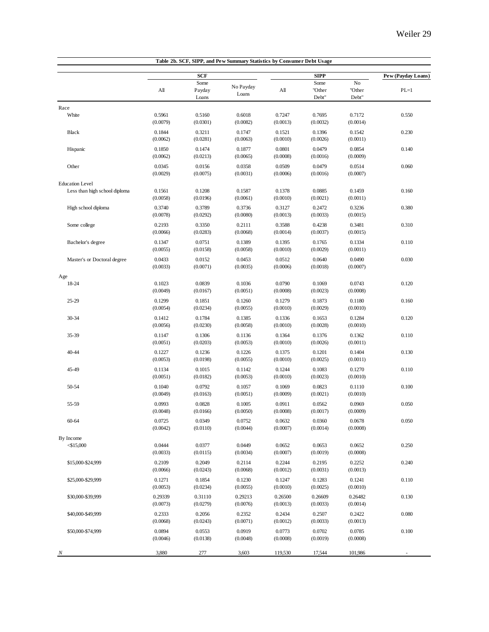|                               |                     |                         | Table 2b. SCF, SIPP, and Pew Summary Statistics by Consumer Debt Usage |                     |                         |                       |                    |
|-------------------------------|---------------------|-------------------------|------------------------------------------------------------------------|---------------------|-------------------------|-----------------------|--------------------|
|                               |                     | <b>SCF</b>              |                                                                        |                     | <b>SIPP</b>             |                       | Pew (Payday Loans) |
|                               | All                 | Some<br>Payday<br>Loans | No Payday<br>Loans                                                     | All                 | Some<br>"Other<br>Debt" | No<br>"Other<br>Debt" | $PL=1$             |
| Race                          |                     |                         |                                                                        |                     |                         |                       |                    |
| White                         | 0.5961<br>(0.0079)  | 0.5160<br>(0.0301)      | 0.6018<br>(0.0082)                                                     | 0.7247<br>(0.0013)  | 0.7695<br>(0.0032)      | 0.7172<br>(0.0014)    | 0.550              |
| Black                         | 0.1844<br>(0.0062)  | 0.3211<br>(0.0281)      | 0.1747<br>(0.0063)                                                     | 0.1521<br>(0.0010)  | 0.1396<br>(0.0026)      | 0.1542<br>(0.0011)    | 0.230              |
| Hispanic                      | 0.1850<br>(0.0062)  | 0.1474<br>(0.0213)      | 0.1877<br>(0.0065)                                                     | 0.0801<br>(0.0008)  | 0.0479<br>(0.0016)      | 0.0854<br>(0.0009)    | 0.140              |
| Other                         | 0.0345<br>(0.0029)  | 0.0156<br>(0.0075)      | 0.0358<br>(0.0031)                                                     | 0.0509<br>(0.0006)  | 0.0479<br>(0.0016)      | 0.0514<br>(0.0007)    | 0.060              |
| <b>Education Level</b>        |                     |                         |                                                                        |                     |                         |                       |                    |
| Less than high school diploma | 0.1561<br>(0.0058)  | 0.1208<br>(0.0196)      | 0.1587<br>(0.0061)                                                     | 0.1378<br>(0.0010)  | 0.0885<br>(0.0021)      | 0.1459<br>(0.0011)    | 0.160              |
| High school diploma           | 0.3740<br>(0.0078)  | 0.3789<br>(0.0292)      | 0.3736<br>(0.0080)                                                     | 0.3127<br>(0.0013)  | 0.2472<br>(0.0033)      | 0.3236<br>(0.0015)    | 0.380              |
| Some college                  | 0.2193<br>(0.0066)  | 0.3350<br>(0.0283)      | 0.2111<br>(0.0068)                                                     | 0.3588<br>(0.0014)  | 0.4238<br>(0.0037)      | 0.3481<br>(0.0015)    | 0.310              |
| Bachelor's degree             | 0.1347<br>(0.0055)  | 0.0751<br>(0.0158)      | 0.1389<br>(0.0058)                                                     | 0.1395<br>(0.0010)  | 0.1765<br>(0.0029)      | 0.1334<br>(0.0011)    | 0.110              |
| Master's or Doctoral degree   | 0.0433<br>(0.0033)  | 0.0152<br>(0.0071)      | 0.0453<br>(0.0035)                                                     | 0.0512<br>(0.0006)  | 0.0640<br>(0.0018)      | 0.0490<br>(0.0007)    | 0.030              |
| Age                           |                     |                         |                                                                        |                     |                         |                       |                    |
| 18-24                         | 0.1023<br>(0.0049)  | 0.0839<br>(0.0167)      | 0.1036<br>(0.0051)                                                     | 0.0790<br>(0.0008)  | 0.1069<br>(0.0023)      | 0.0743<br>(0.0008)    | 0.120              |
| $25 - 29$                     | 0.1299<br>(0.0054)  | 0.1851<br>(0.0234)      | 0.1260<br>(0.0055)                                                     | 0.1279<br>(0.0010)  | 0.1873<br>(0.0029)      | 0.1180<br>(0.0010)    | 0.160              |
| 30-34                         | 0.1412<br>(0.0056)  | 0.1784<br>(0.0230)      | 0.1385<br>(0.0058)                                                     | 0.1336<br>(0.0010)  | 0.1653<br>(0.0028)      | 0.1284<br>(0.0010)    | 0.120              |
| 35-39                         | 0.1147<br>(0.0051)  | 0.1306<br>(0.0203)      | 0.1136<br>(0.0053)                                                     | 0.1364<br>(0.0010)  | 0.1376<br>(0.0026)      | 0.1362<br>(0.0011)    | 0.110              |
| 40-44                         | 0.1227<br>(0.0053)  | 0.1236<br>(0.0198)      | 0.1226<br>(0.0055)                                                     | 0.1375<br>(0.0010)  | 0.1201<br>(0.0025)      | 0.1404<br>(0.0011)    | 0.130              |
| 45-49                         | 0.1134<br>(0.0051)  | 0.1015<br>(0.0182)      | 0.1142<br>(0.0053)                                                     | 0.1244<br>(0.0010)  | 0.1083<br>(0.0023)      | 0.1270<br>(0.0010)    | 0.110              |
| 50-54                         | 0.1040<br>(0.0049)  | 0.0792<br>(0.0163)      | 0.1057<br>(0.0051)                                                     | 0.1069<br>(0.0009)  | 0.0823<br>(0.0021)      | 0.1110<br>(0.0010)    | 0.100              |
| 55-59                         | 0.0993<br>(0.0048)  | 0.0828<br>(0.0166)      | 0.1005<br>(0.0050)                                                     | 0.0911<br>(0.0008)  | 0.0562<br>(0.0017)      | 0.0969<br>(0.0009)    | 0.050              |
| 60-64                         | 0.0725<br>(0.0042)  | 0.0349<br>(0.0110)      | 0.0752<br>(0.0044)                                                     | 0.0632<br>(0.0007)  | 0.0360<br>(0.0014)      | 0.0678<br>(0.0008)    | 0.050              |
| By Income                     |                     |                         |                                                                        |                     |                         |                       |                    |
| $<$ \$15,000                  | 0.0444<br>(0.0033)  | 0.0377<br>(0.0115)      | 0.0449<br>(0.0034)                                                     | 0.0652<br>(0.0007)  | 0.0653<br>(0.0019)      | 0.0652<br>(0.0008)    | 0.250              |
| \$15,000-\$24,999             | 0.2109<br>(0.0066)  | 0.2049<br>(0.0243)      | 0.2114<br>(0.0068)                                                     | 0.2244<br>(0.0012)  | 0.2195<br>(0.0031)      | 0.2252<br>(0.0013)    | 0.240              |
| \$25,000-\$29,999             | 0.1271<br>(0.0053)  | 0.1854<br>(0.0234)      | 0.1230<br>(0.0055)                                                     | 0.1247<br>(0.0010)  | 0.1283<br>(0.0025)      | 0.1241<br>(0.0010)    | 0.110              |
| \$30,000-\$39,999             | 0.29339<br>(0.0073) | 0.31110<br>(0.0279)     | 0.29213<br>(0.0076)                                                    | 0.26500<br>(0.0013) | 0.26609<br>(0.0033)     | 0.26482<br>(0.0014)   | 0.130              |
| \$40,000-\$49,999             | 0.2333<br>(0.0068)  | 0.2056<br>(0.0243)      | 0.2352<br>(0.0071)                                                     | 0.2434<br>(0.0012)  | 0.2507<br>(0.0033)      | 0.2422<br>(0.0013)    | 0.080              |
| \$50,000-\$74,999             | 0.0894<br>(0.0046)  | 0.0553<br>(0.0138)      | 0.0919<br>(0.0048)                                                     | 0.0773<br>(0.0008)  | 0.0702<br>(0.0019)      | 0.0785<br>(0.0008)    | 0.100              |
| N                             | 3,880               | 277                     | 3,603                                                                  | 119,530             | 17,544                  | 101,986               |                    |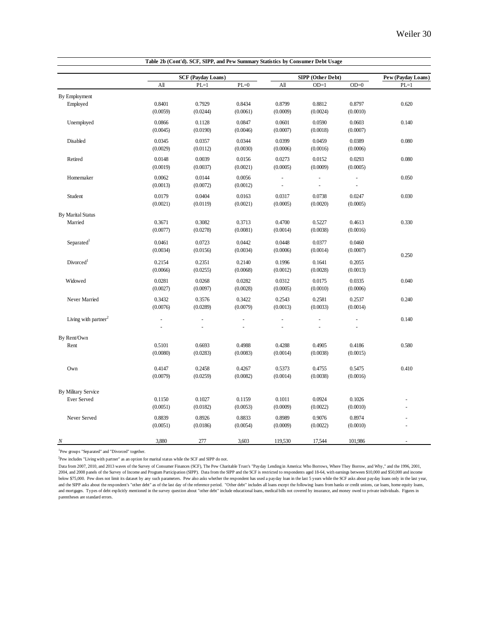|                                    |                    | <b>SCF</b> (Payday Loans) |                    |                    | SIPP (Other Debt)   |                          | Pew (Payday Loans)   |
|------------------------------------|--------------------|---------------------------|--------------------|--------------------|---------------------|--------------------------|----------------------|
|                                    | A <sub>II</sub>    | $PL=1$                    | $PL=0$             | All                | $OD=1$              | $OD=0$                   | $PL=1$               |
| By Employment                      |                    |                           |                    |                    |                     |                          |                      |
| Employed                           | 0.8401             | 0.7929                    | 0.8434             | 0.8799             | 0.8812              | 0.8797                   | 0.620                |
|                                    | (0.0059)           | (0.0244)                  | (0.0061)           | (0.0009)           | (0.0024)            | (0.0010)                 |                      |
| Unemployed                         | 0.0866             | 0.1128                    | 0.0847             | 0.0601             | 0.0590              | 0.0603                   | 0.140                |
|                                    | (0.0045)           | (0.0190)                  | (0.0046)           | (0.0007)           | (0.0018)            | (0.0007)                 |                      |
| Disabled                           | 0.0345             | 0.0357                    | 0.0344             | 0.0399             | 0.0459              | 0.0389                   | 0.080                |
|                                    | (0.0029)           | (0.0112)                  | (0.0030)           | (0.0006)           | (0.0016)            | (0.0006)                 |                      |
| Retired                            | 0.0148             | 0.0039                    | 0.0156             | 0.0273             | 0.0152              | 0.0293                   | 0.080                |
|                                    | (0.0019)           | (0.0037)                  | (0.0021)           | (0.0005)           | (0.0009)            | (0.0005)                 |                      |
| Homemaker                          | 0.0062             | 0.0144                    | 0.0056             | $\overline{a}$     | $\bar{\phantom{a}}$ | $\sim$                   | 0.050                |
|                                    | (0.0013)           | (0.0072)                  | (0.0012)           |                    |                     | $\overline{\phantom{a}}$ |                      |
| Student                            | 0.0179             | 0.0404                    | 0.0163             | 0.0317             | 0.0738              | 0.0247                   | 0.030                |
|                                    | (0.0021)           | (0.0119)                  | (0.0021)           | (0.0005)           | (0.0020)            | (0.0005)                 |                      |
| <b>By Marital Status</b>           |                    |                           |                    |                    |                     |                          |                      |
| Married                            | 0.3671             | 0.3082                    | 0.3713             | 0.4700             | 0.5227              | 0.4613                   | 0.330                |
|                                    | (0.0077)           | (0.0278)                  | (0.0081)           | (0.0014)           | (0.0038)            | (0.0016)                 |                      |
| Separated <sup>1</sup>             | 0.0461             | 0.0723                    | 0.0442             | 0.0448             | 0.0377              | 0.0460                   |                      |
|                                    | (0.0034)           | (0.0156)                  | (0.0034)           | (0.0006)           | (0.0014)            | (0.0007)                 |                      |
| Divorced <sup>1</sup>              | 0.2154             | 0.2351                    | 0.2140             | 0.1996             | 0.1641              | 0.2055                   | 0.250                |
|                                    | (0.0066)           | (0.0255)                  | (0.0068)           | (0.0012)           | (0.0028)            | (0.0013)                 |                      |
| Widowed                            |                    |                           |                    |                    |                     |                          |                      |
|                                    | 0.0281<br>(0.0027) | 0.0268<br>(0.0097)        | 0.0282<br>(0.0028) | 0.0312<br>(0.0005) | 0.0175<br>(0.0010)  | 0.0335<br>(0.0006)       | 0.040                |
|                                    |                    |                           |                    |                    |                     |                          |                      |
| Never Married                      | 0.3432<br>(0.0076) | 0.3576<br>(0.0289)        | 0.3422<br>(0.0079) | 0.2543<br>(0.0013) | 0.2581<br>(0.0033)  | 0.2537<br>(0.0014)       | 0.240                |
|                                    |                    |                           |                    |                    |                     |                          |                      |
| Living with partner <sup>2</sup>   | ÷,                 | ÷,                        | ÷,                 | ÷,                 | ÷.                  | ÷,                       | 0.140                |
|                                    | ÷,                 |                           | ä,                 | ä,                 |                     |                          |                      |
| By Rent/Own                        |                    |                           |                    |                    |                     |                          |                      |
| Rent                               | 0.5101<br>(0.0080) | 0.6693<br>(0.0283)        | 0.4988<br>(0.0083) | 0.4288<br>(0.0014) | 0.4905<br>(0.0038)  | 0.4186<br>(0.0015)       | 0.580                |
|                                    |                    |                           |                    |                    |                     |                          |                      |
| Own                                | 0.4147             | 0.2458                    | 0.4267             | 0.5373             | 0.4755              | 0.5475                   | 0.410                |
|                                    | (0.0079)           | (0.0259)                  | (0.0082)           | (0.0014)           | (0.0038)            | (0.0016)                 |                      |
|                                    |                    |                           |                    |                    |                     |                          |                      |
| By Military Service<br>Ever Served | 0.1150             | 0.1027                    | 0.1159             | 0.1011             | 0.0924              | 0.1026                   |                      |
|                                    | (0.0051)           | (0.0182)                  | (0.0053)           | (0.0009)           | (0.0022)            | (0.0010)                 | $\overline{a}$<br>÷. |
|                                    |                    |                           |                    |                    |                     |                          |                      |
| Never Served                       | 0.8839<br>(0.0051) | 0.8926<br>(0.0186)        | 0.8833<br>(0.0054) | 0.8989<br>(0.0009) | 0.9076<br>(0.0022)  | 0.8974<br>(0.0010)       |                      |
|                                    |                    |                           |                    |                    |                     |                          |                      |
| N                                  | 3.880              | 277                       | 3.603              | 119,530            | 17.544              | 101.986                  |                      |

**Table 2b (Cont'd). SCF, SIPP, and Pew Summary Statistics by Consumer Debt Usage**

<sup>1</sup>Pew groups "Separated" and "Divorced" together.

<sup>2</sup>Pew includes "Living with partner" as an option for marital status while the SCF and SIPP do not.

Data from 2007, 2010, and 2013 waves of the Survey of Consumer Finances (SCF), The Pew Charitable Trust's "Payday Lending in America: Who Borrows, Where They Borrow, and Why," and the 1996, 2001,<br>2004, and 2008 panels of t below \$75,000. Pew does not limit its dataset by any such parameters. Pew also asks whether the respondent has used a payday loan in the last 5 years while the SCF asks about payday loans only in the last year, and the SIPP asks about the respondent's "other debt" as of the last day of the reference period. "Other debt" includes all loans except the following: loans from banks or credit unions, car loans, home equity loans, and mortgages. Types of debt explicitly mentioned in the survey question about "other debt" include educational loans, medical bills not covered by insurance, and money owed to private individuals. Figures in parentheses are standard errors.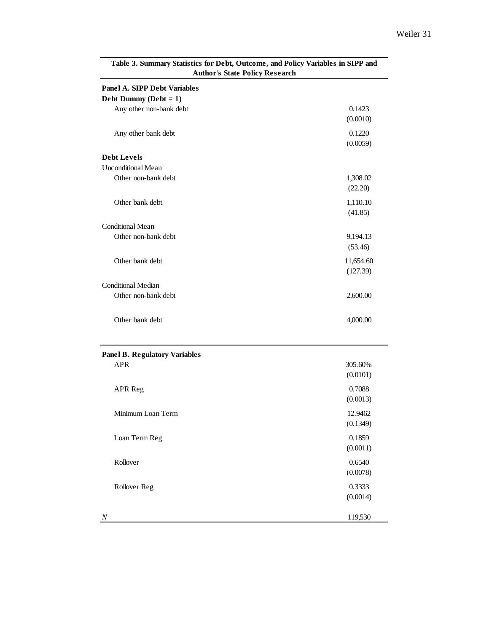| <b>Author's State Policy Research</b>                            |                       |
|------------------------------------------------------------------|-----------------------|
| <b>Panel A. SIPP Debt Variables</b><br>Debt Dummy ( $Debt = 1$ ) |                       |
| Any other non-bank debt                                          | 0.1423<br>(0.0010)    |
| Any other bank debt                                              | 0.1220<br>(0.0059)    |
| <b>Debt Levels</b>                                               |                       |
| <b>Unconditional Mean</b>                                        |                       |
| Other non-bank debt                                              | 1,308.02<br>(22.20)   |
| Other bank debt                                                  | 1,110.10<br>(41.85)   |
| <b>Conditional Mean</b>                                          |                       |
| Other non-bank debt                                              | 9,194.13<br>(53.46)   |
| Other bank debt                                                  | 11,654.60<br>(127.39) |
| <b>Conditional Median</b>                                        |                       |
| Other non-bank debt                                              | 2,600.00              |
| Other bank debt                                                  | 4,000.00              |
| <b>Panel B. Regulatory Variables</b>                             |                       |
| <b>APR</b>                                                       | 305.60%<br>(0.0101)   |
| <b>APR</b> Reg                                                   | 0.7088<br>(0.0013)    |
| Minimum Loan Term                                                | 12.9462<br>(0.1349)   |
| Loan Term Reg                                                    | 0.1859<br>(0.0011)    |
| Rollover                                                         | 0.6540<br>(0.0078)    |
| Rollover Reg                                                     | 0.3333<br>(0.0014)    |
| N                                                                | 119,530               |

**Table 3. Summary Statistics for Debt, Outcome, and Policy Variables in SIPP and**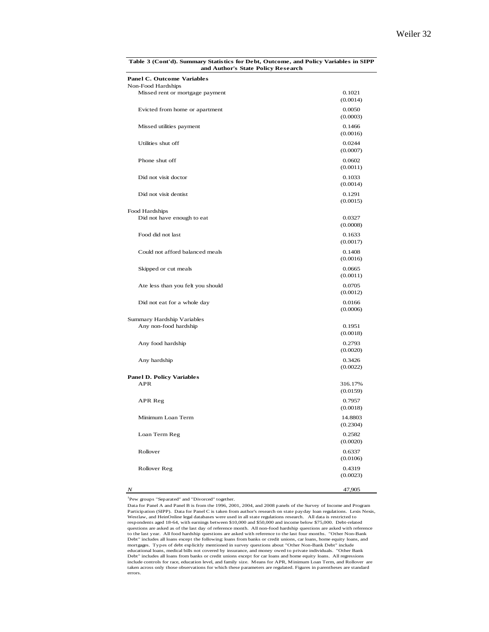| and Author's State Policy Research                      |                     |
|---------------------------------------------------------|---------------------|
| <b>Panel C. Outcome Variables</b><br>Non-Food Hardships |                     |
| Missed rent or mortgage payment                         | 0.1021<br>(0.0014)  |
| Evicted from home or apartment                          | 0.0050<br>(0.0003)  |
| Missed utilities payment                                | 0.1466<br>(0.0016)  |
| Utilities shut off                                      | 0.0244<br>(0.0007)  |
| Phone shut off                                          | 0.0602<br>(0.0011)  |
| Did not visit doctor                                    | 0.1033<br>(0.0014)  |
| Did not visit dentist                                   | 0.1291<br>(0.0015)  |
| Food Hardships                                          |                     |
| Did not have enough to eat                              | 0.0327<br>(0.0008)  |
| Food did not last                                       | 0.1633<br>(0.0017)  |
| Could not afford balanced meals                         | 0.1408<br>(0.0016)  |
| Skipped or cut meals                                    | 0.0665<br>(0.0011)  |
| Ate less than you felt you should                       | 0.0705<br>(0.0012)  |
| Did not eat for a whole day                             | 0.0166<br>(0.0006)  |
| Summary Hardship Variables                              |                     |
| Any non-food hardship                                   | 0.1951<br>(0.0018)  |
| Any food hardship                                       | 0.2793<br>(0.0020)  |
| Any hardship                                            | 0.3426<br>(0.0022)  |
| <b>Panel D. Policy Variables</b>                        |                     |
| APR                                                     | 316.17%<br>(0.0159) |
| APR Reg                                                 | 0.7957<br>(0.0018)  |
| Minimum Loan Term                                       | 14.8803<br>(0.2304) |
| Loan Term Reg                                           | 0.2582<br>(0.0020)  |
| Rollover                                                | 0.6337<br>(0.0106)  |
| Rollover Reg                                            | 0.4319<br>(0.0023)  |
|                                                         |                     |

**Table 3 (Cont'd). Summary Statistics for Debt, Outcome, and Policy Variables in SIPP** 

*N* 47,905

1 Pew groups "Separated" and "Divorced" together.

Data for Panel A and Panel B is from the 1996, 2001, 2004, and 2008 panels of the Survey of Income and Program Participation (SIPP). Data for Panel C is taken from author's research on state payday loan regulations. Lexis Nexis,<br>Westlaw, and HeinOnline legal databases were used in all state regulations research. All data is restric respondents aged 18-64, with earnings between \$10,000 and \$50,000 and income below \$75,000. Debt-related questions are asked as of the last day of reference month. All non-food hardship questions are asked with reference<br>to the last year. All food hardship questions are asked with reference to the last four months. "Other Non Debt" includes all loans except the following: loans from banks or credit unions, car loans, home equity loans, and mortgages. Types of debt explicitly mentioned in survey questions about "Other Non-Bank Debt" include<br>educational loans, medical bills not covered by insurance, and money owed to private individuals. "Other Bank<br>Debt" incl include controls for race, education level, and family size. Means for APR, Minimum Loan Term, and Rollover are taken across only those observations for which these parameters are regulated. Figures in parentheses are standard errors.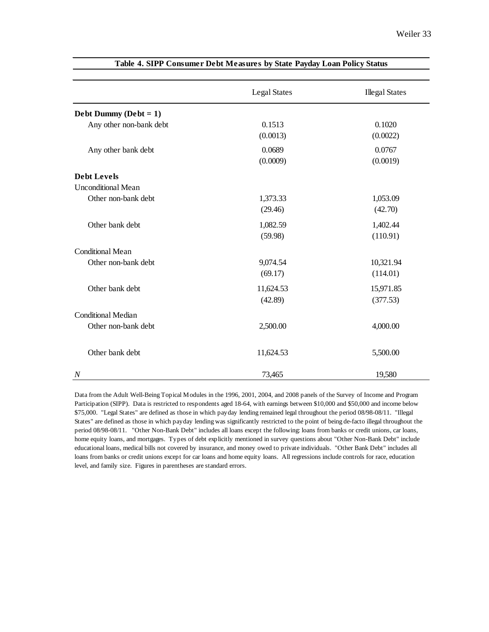|                           | <b>Legal States</b> | <b>Illegal States</b> |
|---------------------------|---------------------|-----------------------|
| Debt Dummy ( $Debt = 1$ ) |                     |                       |
| Any other non-bank debt   | 0.1513              | 0.1020                |
|                           | (0.0013)            | (0.0022)              |
| Any other bank debt       | 0.0689              | 0.0767                |
|                           | (0.0009)            | (0.0019)              |
| <b>Debt Levels</b>        |                     |                       |
| <b>Unconditional Mean</b> |                     |                       |
| Other non-bank debt       | 1,373.33            | 1,053.09              |
|                           | (29.46)             | (42.70)               |
| Other bank debt           | 1,082.59            | 1,402.44              |
|                           | (59.98)             | (110.91)              |
| <b>Conditional Mean</b>   |                     |                       |
| Other non-bank debt       | 9,074.54            | 10,321.94             |
|                           | (69.17)             | (114.01)              |
| Other bank debt           | 11,624.53           | 15,971.85             |
|                           | (42.89)             | (377.53)              |
| <b>Conditional Median</b> |                     |                       |
| Other non-bank debt       | 2,500.00            | 4,000.00              |
|                           |                     |                       |
| Other bank debt           | 11,624.53           | 5,500.00              |
|                           |                     |                       |
| $\overline{N}$            | 73,465              | 19,580                |

#### **Table 4. SIPP Consumer Debt Measures by State Payday Loan Policy Status**

Data from the Adult Well-Being Topical Modules in the 1996, 2001, 2004, and 2008 panels of the Survey of Income and Program Participation (SIPP). Data is restricted to respondents aged 18-64, with earnings between \$10,000 and \$50,000 and income below \$75,000. "Legal States" are defined as those in which payday lending remained legal throughout the period 08/98-08/11. "Illegal States" are defined as those in which payday lending was significantly restricted to the point of being de-facto illegal throughout the period 08/98-08/11. "Other Non-Bank Debt" includes all loans except the following: loans from banks or credit unions, car loans, home equity loans, and mortgages. Types of debt explicitly mentioned in survey questions about "Other Non-Bank Debt" include educational loans, medical bills not covered by insurance, and money owed to private individuals. "Other Bank Debt" includes all loans from banks or credit unions except for car loans and home equity loans. All regressions include controls for race, education level, and family size. Figures in parentheses are standard errors.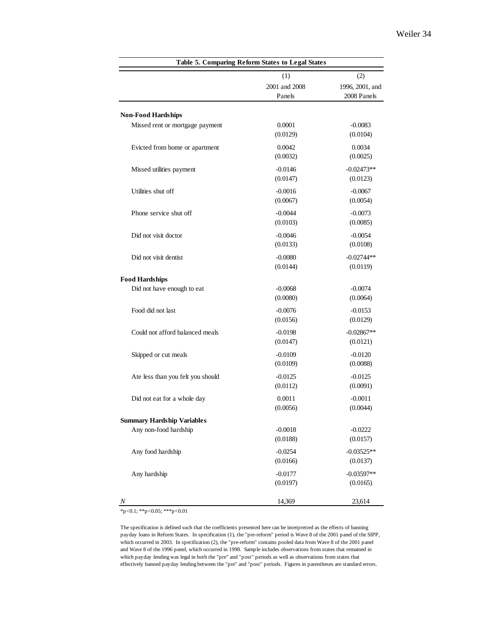|                                   | Table 5. Comparing Reform States to Legal States |                 |
|-----------------------------------|--------------------------------------------------|-----------------|
|                                   | (1)                                              | (2)             |
|                                   | 2001 and 2008                                    | 1996, 2001, and |
|                                   | Panels                                           | 2008 Panels     |
| <b>Non-Food Hardships</b>         |                                                  |                 |
| Missed rent or mortgage payment   | 0.0001                                           | $-0.0083$       |
|                                   | (0.0129)                                         | (0.0104)        |
| Evicted from home or apartment    | 0.0042                                           | 0.0034          |
|                                   | (0.0032)                                         | (0.0025)        |
| Missed utilities payment          | $-0.0146$                                        | $-0.02473**$    |
|                                   | (0.0147)                                         | (0.0123)        |
| Utilities shut off                | $-0.0016$                                        | $-0.0067$       |
|                                   | (0.0067)                                         | (0.0054)        |
| Phone service shut off            | $-0.0044$                                        | $-0.0073$       |
|                                   | (0.0103)                                         | (0.0085)        |
| Did not visit doctor              | $-0.0046$                                        | $-0.0054$       |
|                                   | (0.0133)                                         | (0.0108)        |
| Did not visit dentist             | $-0.0080$                                        | $-0.02744**$    |
|                                   | (0.0144)                                         | (0.0119)        |
| <b>Food Hardships</b>             |                                                  |                 |
| Did not have enough to eat        | $-0.0068$                                        | $-0.0074$       |
|                                   | (0.0080)                                         | (0.0064)        |
| Food did not last                 | $-0.0076$                                        | $-0.0153$       |
|                                   | (0.0156)                                         | (0.0129)        |
| Could not afford balanced meals   | $-0.0198$                                        | $-0.02867**$    |
|                                   | (0.0147)                                         | (0.0121)        |
| Skipped or cut meals              | $-0.0109$                                        | $-0.0120$       |
|                                   | (0.0109)                                         | (0.0088)        |
| Ate less than you felt you should | $-0.0125$                                        | $-0.0125$       |
|                                   | (0.0112)                                         | (0.0091)        |
| Did not eat for a whole day       | 0.0011                                           | $-0.0011$       |
|                                   | (0.0056)                                         | (0.0044)        |
| <b>Summary Hardship Variables</b> |                                                  |                 |
| Any non-food hardship             | $-0.0018$                                        | $-0.0222$       |
|                                   | (0.0188)                                         | (0.0157)        |
| Any food hardship                 | $-0.0254$                                        | $-0.03525**$    |
|                                   | (0.0166)                                         | (0.0137)        |
| Any hardship                      | $-0.0177$                                        | $-0.03597**$    |
|                                   | (0.0197)                                         | (0.0165)        |
| Ν                                 | 14,369                                           | 23,614          |

\*p<0.1; \*\*p<0.05; \*\*\*p<0.01

The specification is defined such that the coefficients presented here can be interpretted as the effects of banning payday loans in Reform States. In specification (1), the "pre-reform" period is Wave 8 of the 2001 panel of the SIPP, which occurred in 2003. In specification (2), the "pre-reform" contains pooled data from Wave 8 of the 2001 panel and Wave 8 of the 1996 panel, which occurred in 1998. Sample includes observations from states that remained in which payday lending was legal in both the "pre" and "post" periods as well as observations from states that effectively banned payday lending between the "pre" and "post" periods. Figures in parentheses are standard errors.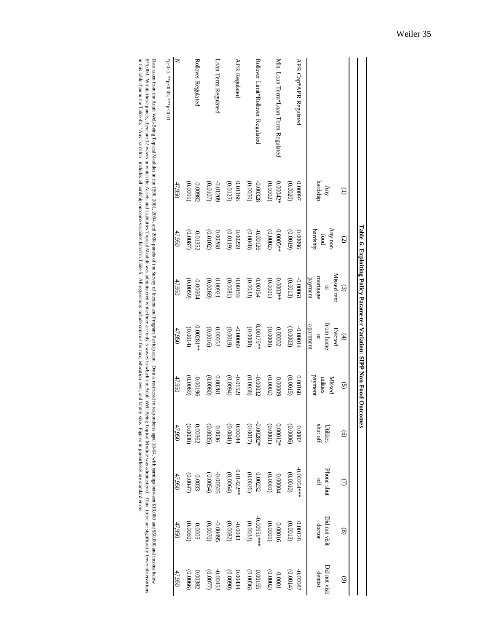|                                    |                                |                             |                                              | Table 6. Exploiting Policy Parameter Variation: SIPP Non-Food Outcomes |                                       |                                         |                            |                         |                         |
|------------------------------------|--------------------------------|-----------------------------|----------------------------------------------|------------------------------------------------------------------------|---------------------------------------|-----------------------------------------|----------------------------|-------------------------|-------------------------|
|                                    | $\ominus$                      | $\odot$                     | $\odot$                                      | $\bigoplus$                                                            | $\odot$                               | $\odot$                                 | $\odot$                    | $\circledast$           | $\odot$                 |
|                                    | hardship<br>$\rm\thinspace km$ | Any non<br>hardship<br>food | Missed rent<br>mortgage<br>payment<br>$\Box$ | from home<br>apartment<br>Evicted<br>$\mathbf{Q}$                      | payment<br><b>Missed</b><br>utilities | $\sin\phi$ shut off<br><b>Utilities</b> | Phone shut<br>$\mathbb{H}$ | Did not visit<br>doctor | Did not visi<br>dentist |
| APR Cap*APR Regulated              | (0.0020)                       | (61000)                     | -0.00061                                     | -0.00014                                                               | (0.0015)                              | (90000)                                 | $-0.00264**$               | (0.0013)                | $-0.0008$               |
|                                    | 0.00097                        | 0.00096                     | (0.0013)                                     | (0.0003)                                                               | 0.00168                               | 0.0002                                  | (0100.0)                   | 0.00128                 | (0.0014)                |
| Min. Loan Term*Loan Term Regulated | $-0.00042*$                    | $-0.0005**$                 | $-0.0003**$                                  | (00000)                                                                | 60000                                 | $-0.00012$                              | $\pm 00000$ -              | 91000'0-                | $10000 -$               |
|                                    | (0.0002)                       | (0.0002)                    | (0.0001)                                     | 0.00002                                                                | (0.0002)                              | (10000)                                 | (1000.0)                   | (10000)                 | (0.0002)                |
| Rollover Limit*Rollover Regulated  | -0.00328                       | -0.00126                    | 0.00154                                      | 0.00175**                                                              | $-0.00032$                            | $-0.00282*$                             | (0.0026)                   | $-0.00951***$           | 55100.0                 |
|                                    | (0.0050)                       | (0.0048)                    | (0.0033)                                     | (0.0008)                                                               | (0.0038)                              | (0.0017)                                | 0.00232                    | (0.0033)                | (0.0036)                |
| APR Regulated                      | (0.0125)                       | 0.00259                     | (0.0081)                                     | 69000'0-                                                               | 15210.0-                              | $0.00044$                               | $0.01422**$                | $-0.0043$               | (0600)                  |
|                                    | 0.01166                        | (61100)                     | 0.00159                                      | (0.0019)                                                               | (0.0094)                              | (0.0041)                                | (0.0064)                   | (0.0082)                | 0.00434                 |
| Loan Term Regulated                | -0.01209                       | 0.00268                     | (0.0069)                                     | (0.0016)                                                               | 0.00281                               | (0.0035)                                | 50S005                     | S60000-                 | -0.00453                |
|                                    | (0.0107)                       | (0.0102)                    | 0.00921                                      | 0.00053                                                                | (0.0800)                              | 0.0036                                  | (0.0054)                   | (0.0070)                | (0.0077)                |
| Rollover Regulated                 | 78600'0-                       | (0.0087)                    | (0.0059)                                     | $-0.00281**$                                                           | (0.0069)                              | (0.0030)                                | (0.0047)                   | (0.0060)                | (0.0066)                |
|                                    | (16000)                        | -0.01352                    | +0900'0-                                     | (0.0014)                                                               | 96100'0                               | 0.00362                                 | 0.0033                     | 50000                   | 0.00382                 |
| $\geq$                             | 47,950                         | 47,950                      | 47,950                                       | 47,950                                                                 | 47,950                                | 47,950                                  | 47,950                     | 47,950                  | 47,950                  |
| *p<0.1; **p<0.05; ***p<0.01        |                                |                             |                                              |                                                                        |                                       |                                         |                            |                         |                         |

Data taken from the Adult Well-Being Topical Modules in the 1996, 2001, 2004, and 2008 panels of Income and Program Participation. Data is restricted to respondents aged 18-64, with earnings between \$10,000 and \$50,000 and in this table than e Table 4b. "Any hardship" includes all hardship outcome variables listed in Table 5. All regressions include controls 6. Nll regressions include controls 6. All regressions include controls is ide in Ta 875,000. Within there are 12 wases and Labilities Topical Melli east administered while there are ally about ally ally distributed with the Addit Well-Being Topical Mell-Being Topical Mell-Being Topical Mell-Being Topical Data taken from the Adult Well-Being Topicus in the 1996, 2001, 2004, and 2008 panels of the Survey of Income and Program Participation Evaluar Participation. Data is restricted to respondents aged. 1844, with earnings bet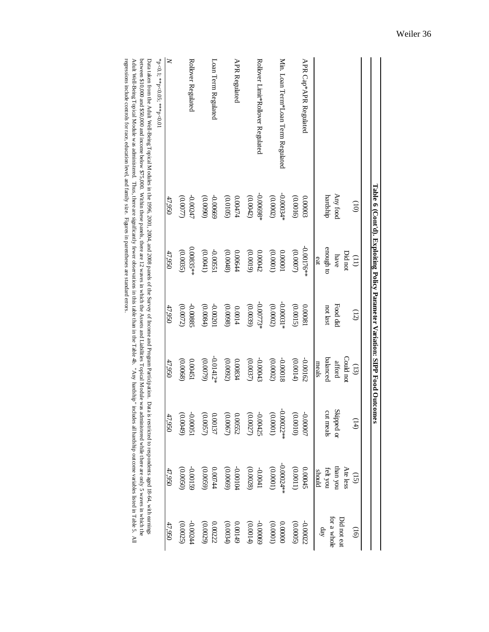|                                                                                                                                                                                                   |                      | $F$ able 6 (Cont'd). Exploiting Policy Parameter Variation: SIPP Food Outcomes |                      |                                |                         |                                                                                                                                         |                                                       |
|---------------------------------------------------------------------------------------------------------------------------------------------------------------------------------------------------|----------------------|--------------------------------------------------------------------------------|----------------------|--------------------------------|-------------------------|-----------------------------------------------------------------------------------------------------------------------------------------|-------------------------------------------------------|
|                                                                                                                                                                                                   |                      |                                                                                |                      |                                |                         |                                                                                                                                         |                                                       |
|                                                                                                                                                                                                   | $\left($ 00          | Did not<br>$\left(1\right)$                                                    | (12)                 | Could not<br>$\left(13\right)$ | (14)                    | Ate less<br>$\widetilde{E}$                                                                                                             | $\left($ i $\right)$                                  |
|                                                                                                                                                                                                   | Any food<br>hardship | enough to<br>have<br>eat                                                       | Food did<br>not last | balanced<br>afford<br>meals    | Skipped or<br>cut meals | than you<br>felt you<br>should                                                                                                          | for a whole<br>Did not eat<br>$\mathrm{d}a\mathrm{y}$ |
| APR Cap*APR Regulated                                                                                                                                                                             | (0.0016)             | $-0.00176**$                                                                   | (0.0015)             | -0.00162                       | (0100.0)                | (1100.0)                                                                                                                                | (0.0005)                                              |
|                                                                                                                                                                                                   | 0.00003              | (0.0007)                                                                       | 0.00081              | (0.0014)                       | -0.0007                 | 0.00045                                                                                                                                 | -0.00022                                              |
| Min. Loan Term*Loan Term Regulated                                                                                                                                                                | $-0.00034*$          | (0.0001)                                                                       | $-0.00031*$          | -0.00018                       | $-0.00022**$            | $-0.00024**$                                                                                                                            | 0.00000                                               |
|                                                                                                                                                                                                   | (0.0002)             | 0.00001                                                                        | (0.0002)             | (0.0002)                       | (1000.0)                | (1000.0)                                                                                                                                | (10000)                                               |
| Rollover Limit*Rollover Regulated                                                                                                                                                                 | $-0.00698*$          | (0.0019)                                                                       | $-0.00773*$          | $-0.00043$                     | (0.0027)                | (0.0028)                                                                                                                                | -0.00069                                              |
|                                                                                                                                                                                                   | (0.0042)             | 0.00042                                                                        | (0.0039)             | (0.0037)                       | $-0.00425$              | $1400.00-$                                                                                                                              | (0.0014)                                              |
| APR Regulated                                                                                                                                                                                     | 0.00474              | (0.0048)                                                                       | (0.0098)             | (0.0092)                       | (0.0067)                | 100.04                                                                                                                                  | 0.00149                                               |
|                                                                                                                                                                                                   | (0.0105)             | 0.00644                                                                        | 0.0014               | 0.00834                        | 0.00552                 | (0.0069)                                                                                                                                | (0.0034)                                              |
| Loan Term Regulated                                                                                                                                                                               | $-0.00669$           | -0.00551                                                                       | 102000-              | $-0.01412*$                    | (0.0057)                | $0.00744$                                                                                                                               | 0.00222                                               |
|                                                                                                                                                                                                   | (0600)               | (0.0041)                                                                       | (0.0084)             | (0.0079)                       | 0.00137                 | (0.0059)                                                                                                                                | (0.0029)                                              |
| Rollover Regulated                                                                                                                                                                                | (0.0077)             | $0.00835**$                                                                    | (0.0072)             | (0.0068)                       | (0.0049)                | (0.0050)                                                                                                                                | (0.0025)                                              |
|                                                                                                                                                                                                   | $-0.00247$           | (0.0035)                                                                       | -0.00885             | 0.00451                        | 150000-                 | -0.00159                                                                                                                                | -0.00244                                              |
| $\geq$                                                                                                                                                                                            | 47,950               | 47,950                                                                         | 47,950               | 47,950                         | 47,950                  | 47,950                                                                                                                                  | 47,950                                                |
| $*_{p<0.1}; *_{p<0.05}; *_{p<0.01}$<br>フェール factor first Alpha Michael Topics コンピュータ internation in the 100 C 2001 2004 seed 2009 issues on the Common and Tassers and Designers Delegations コンカウ |                      |                                                                                |                      |                                |                         | $\frac{1}{2}$ . In this case of the contract of the contract of $\frac{1}{2}$ . The contract of $\frac{1}{2}$ is a set of $\frac{1}{2}$ |                                                       |

Data taken from the Adult Well-Being Topical Modules in the 1996, 2001, 2004, and 2008 panels of the Survey of Income and Program Participation. Data is restricted to respondents aged 18-64, with earnings between \$10,000 a regressions include controls for race, education level, and family size. Figures in parentheses are standard errors. Adult Well-Being Topical Module was administered. Thus, there are significantly fewer observations in this table than in the Table 4b. "Any hardship" includes all hardship outcome variables all hardship outcome variables a between \$10,000 and \$50,000 and income below \$75,000. Within these panels, there are 12 waves in which the Assets and Liabilities Topical Module was administered while there are only 5 waves in which the Assets and Data taken from the Adult Well-Being Topical Modules in the 1996, 2001, 2001, 2001, 2004, and 2008 panels of the 2004, and 2008 panels of the Survey of Income and Program Participation. Data is restricted to respondents ag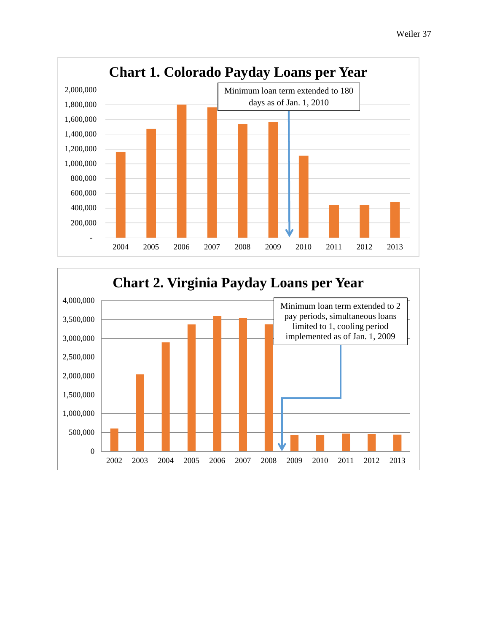

<span id="page-37-0"></span>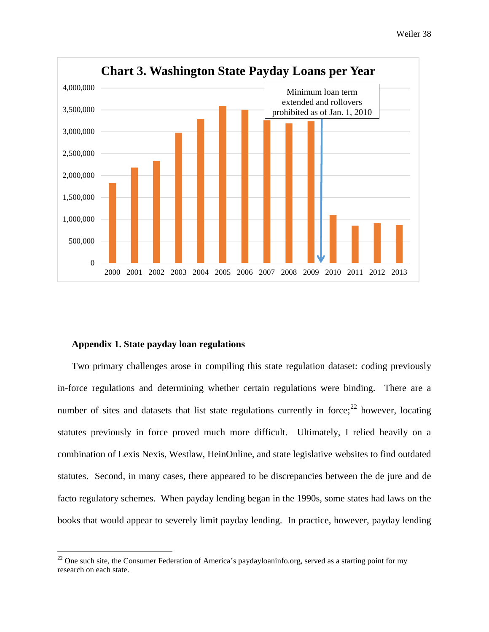

# **Appendix 1. State payday loan regulations**

l

Two primary challenges arose in compiling this state regulation dataset: coding previously in-force regulations and determining whether certain regulations were binding. There are a number of sites and datasets that list state regulations currently in force; $^{22}$  $^{22}$  $^{22}$  however, locating statutes previously in force proved much more difficult. Ultimately, I relied heavily on a combination of Lexis Nexis, Westlaw, HeinOnline, and state legislative websites to find outdated statutes. Second, in many cases, there appeared to be discrepancies between the de jure and de facto regulatory schemes. When payday lending began in the 1990s, some states had laws on the books that would appear to severely limit payday lending. In practice, however, payday lending

<span id="page-38-0"></span> $^{22}$  One such site, the Consumer Federation of America's paydayloaninfo.org, served as a starting point for my research on each state.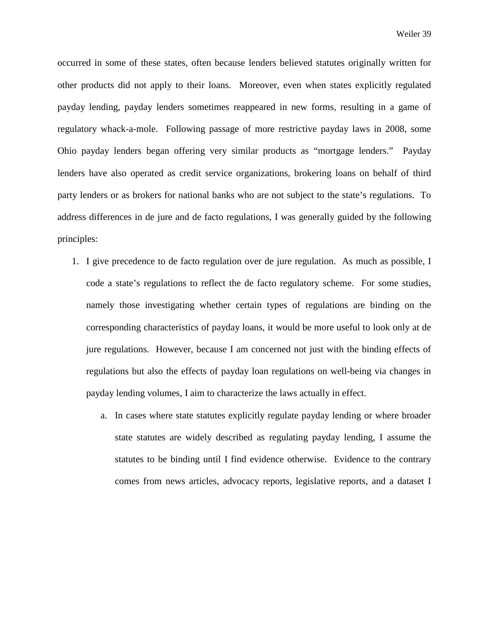occurred in some of these states, often because lenders believed statutes originally written for other products did not apply to their loans. Moreover, even when states explicitly regulated payday lending, payday lenders sometimes reappeared in new forms, resulting in a game of regulatory whack-a-mole. Following passage of more restrictive payday laws in 2008, some Ohio payday lenders began offering very similar products as "mortgage lenders." Payday lenders have also operated as credit service organizations, brokering loans on behalf of third party lenders or as brokers for national banks who are not subject to the state's regulations. To address differences in de jure and de facto regulations, I was generally guided by the following principles:

- 1. I give precedence to de facto regulation over de jure regulation. As much as possible, I code a state's regulations to reflect the de facto regulatory scheme. For some studies, namely those investigating whether certain types of regulations are binding on the corresponding characteristics of payday loans, it would be more useful to look only at de jure regulations. However, because I am concerned not just with the binding effects of regulations but also the effects of payday loan regulations on well-being via changes in payday lending volumes, I aim to characterize the laws actually in effect.
	- a. In cases where state statutes explicitly regulate payday lending or where broader state statutes are widely described as regulating payday lending, I assume the statutes to be binding until I find evidence otherwise. Evidence to the contrary comes from news articles, advocacy reports, legislative reports, and a dataset I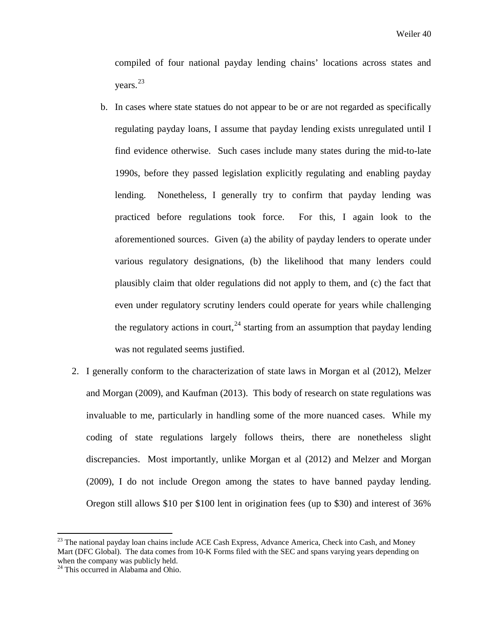compiled of four national payday lending chains' locations across states and years.[23](#page-40-0) 

- b. In cases where state statues do not appear to be or are not regarded as specifically regulating payday loans, I assume that payday lending exists unregulated until I find evidence otherwise. Such cases include many states during the mid-to-late 1990s, before they passed legislation explicitly regulating and enabling payday lending. Nonetheless, I generally try to confirm that payday lending was practiced before regulations took force. For this, I again look to the aforementioned sources. Given (a) the ability of payday lenders to operate under various regulatory designations, (b) the likelihood that many lenders could plausibly claim that older regulations did not apply to them, and (c) the fact that even under regulatory scrutiny lenders could operate for years while challenging the regulatory actions in court,  $24$  starting from an assumption that payday lending was not regulated seems justified.
- 2. I generally conform to the characterization of state laws in Morgan et al (2012), Melzer and Morgan (2009), and Kaufman (2013). This body of research on state regulations was invaluable to me, particularly in handling some of the more nuanced cases. While my coding of state regulations largely follows theirs, there are nonetheless slight discrepancies. Most importantly, unlike Morgan et al (2012) and Melzer and Morgan (2009), I do not include Oregon among the states to have banned payday lending. Oregon still allows \$10 per \$100 lent in origination fees (up to \$30) and interest of 36%

<span id="page-40-0"></span><sup>&</sup>lt;sup>23</sup> The national payday loan chains include ACE Cash Express, Advance America, Check into Cash, and Money Mart (DFC Global). The data comes from 10-K Forms filed with the SEC and spans varying years depending on when the company was publicly held.

<span id="page-40-1"></span><sup>&</sup>lt;sup>24</sup> This occurred in Alabama and Ohio.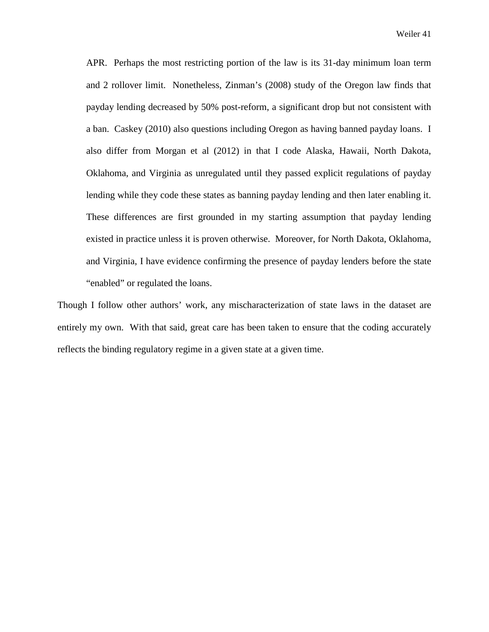APR. Perhaps the most restricting portion of the law is its 31-day minimum loan term and 2 rollover limit. Nonetheless, Zinman's (2008) study of the Oregon law finds that payday lending decreased by 50% post-reform, a significant drop but not consistent with a ban. Caskey (2010) also questions including Oregon as having banned payday loans. I also differ from Morgan et al (2012) in that I code Alaska, Hawaii, North Dakota, Oklahoma, and Virginia as unregulated until they passed explicit regulations of payday lending while they code these states as banning payday lending and then later enabling it. These differences are first grounded in my starting assumption that payday lending existed in practice unless it is proven otherwise. Moreover, for North Dakota, Oklahoma, and Virginia, I have evidence confirming the presence of payday lenders before the state "enabled" or regulated the loans.

Though I follow other authors' work, any mischaracterization of state laws in the dataset are entirely my own. With that said, great care has been taken to ensure that the coding accurately reflects the binding regulatory regime in a given state at a given time.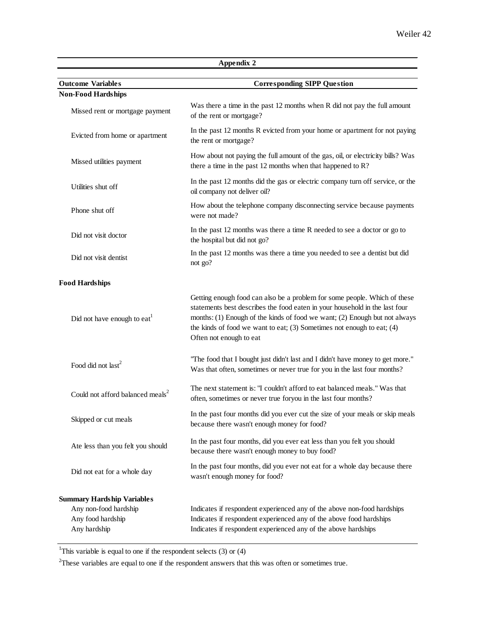|                                                                                                 | Appendix 2                                                                                                                                                                                                                                                                                                                                      |
|-------------------------------------------------------------------------------------------------|-------------------------------------------------------------------------------------------------------------------------------------------------------------------------------------------------------------------------------------------------------------------------------------------------------------------------------------------------|
| <b>Outcome Variables</b>                                                                        | <b>Corresponding SIPP Question</b>                                                                                                                                                                                                                                                                                                              |
| <b>Non-Food Hardships</b>                                                                       |                                                                                                                                                                                                                                                                                                                                                 |
| Missed rent or mortgage payment                                                                 | Was there a time in the past 12 months when R did not pay the full amount<br>of the rent or mortgage?                                                                                                                                                                                                                                           |
| Evicted from home or apartment                                                                  | In the past 12 months R evicted from your home or apartment for not paying<br>the rent or mortgage?                                                                                                                                                                                                                                             |
| Missed utilities payment                                                                        | How about not paying the full amount of the gas, oil, or electricity bills? Was<br>there a time in the past 12 months when that happened to $\mathbb{R}$ ?                                                                                                                                                                                      |
| Utilities shut off                                                                              | In the past 12 months did the gas or electric company turn off service, or the<br>oil company not deliver oil?                                                                                                                                                                                                                                  |
| Phone shut off                                                                                  | How about the telephone company disconnecting service because payments<br>were not made?                                                                                                                                                                                                                                                        |
| Did not visit doctor                                                                            | In the past 12 months was there a time R needed to see a doctor or go to<br>the hospital but did not go?                                                                                                                                                                                                                                        |
| Did not visit dentist                                                                           | In the past 12 months was there a time you needed to see a dentist but did<br>not go?                                                                                                                                                                                                                                                           |
| <b>Food Hardships</b>                                                                           |                                                                                                                                                                                                                                                                                                                                                 |
| Did not have enough to $eat1$                                                                   | Getting enough food can also be a problem for some people. Which of these<br>statements best describes the food eaten in your household in the last four<br>months: (1) Enough of the kinds of food we want; (2) Enough but not always<br>the kinds of food we want to eat; $(3)$ Sometimes not enough to eat; $(4)$<br>Often not enough to eat |
| Food did not last <sup>2</sup>                                                                  | "The food that I bought just didn't last and I didn't have money to get more."<br>Was that often, sometimes or never true for you in the last four months?                                                                                                                                                                                      |
| Could not afford balanced meals <sup>2</sup>                                                    | The next statement is: "I couldn't afford to eat balanced meals." Was that<br>often, sometimes or never true foryou in the last four months?                                                                                                                                                                                                    |
| Skipped or cut meals                                                                            | In the past four months did you ever cut the size of your meals or skip meals<br>because there wasn't enough money for food?                                                                                                                                                                                                                    |
| Ate less than you felt you should                                                               | In the past four months, did you ever eat less than you felt you should<br>because there wasn't enough money to buy food?                                                                                                                                                                                                                       |
| Did not eat for a whole day                                                                     | In the past four months, did you ever not eat for a whole day because there<br>wasn't enough money for food?                                                                                                                                                                                                                                    |
| <b>Summary Hardship Variables</b><br>Any non-food hardship<br>Any food hardship<br>Any hardship | Indicates if respondent experienced any of the above non-food hardships<br>Indicates if respondent experienced any of the above food hardships<br>Indicates if respondent experienced any of the above hardships                                                                                                                                |

<sup>1</sup>This variable is equal to one if the respondent selects  $(3)$  or  $(4)$ 

 $2^2$ These variables are equal to one if the respondent answers that this was often or sometimes true.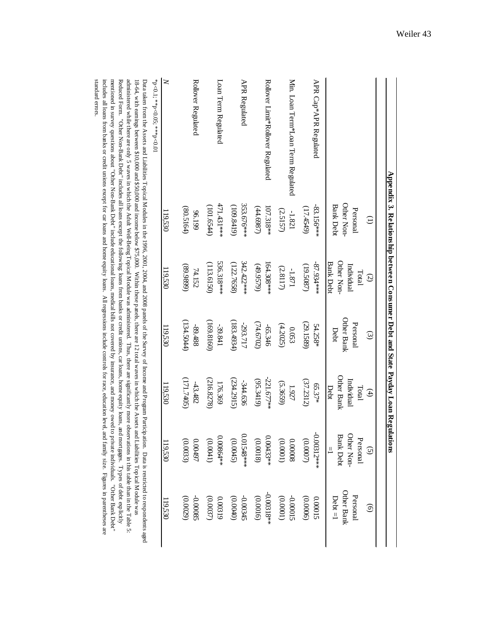|                                       |                                            | Appendix 3. Relationship between Consumer Debt and State Payday Loan Regulations |                                |                                           |                                                              |                                     |
|---------------------------------------|--------------------------------------------|----------------------------------------------------------------------------------|--------------------------------|-------------------------------------------|--------------------------------------------------------------|-------------------------------------|
|                                       | $\ominus$                                  | $\odot$                                                                          | $\odot$                        | $\bigoplus$                               | $\odot$                                                      | $\widehat{\Theta}$                  |
|                                       | Other Non-<br><b>Bank Debt</b><br>Personal | Other Non-<br><b>Bank Debt</b><br>Individual<br>Total                            | Other Bank<br>Personal<br>Debt | Other Bank<br>Individual<br>Debt<br>Total | <b>Bank Debt</b><br>Other Non-<br>Personal<br>$\frac{11}{2}$ | Other Bank<br>Personal<br>$Det = 1$ |
| APR Cap*APR Regulated                 | $-83.156***$                               | $-87.934***$                                                                     | (29.1589)                      | (37.2312)                                 | $-0.00312***$                                                | (0.0006)                            |
|                                       | (17.4549)                                  | (19.5087)                                                                        | 54.258*                        | 65.37*                                    | (00000)                                                      | 0.00015                             |
| Min. Loan Term*Loan Term Regulated    | (2.5157)                                   | $(2.8117)$                                                                       | (4.2025)                       | (5.3659)                                  | (10000)                                                      | -0.00015                            |
|                                       | $-1.821$                                   | $\textbf{-1.871}$                                                                | 0.053                          | 1.927                                     | 0.00008                                                      | (0.0001)                            |
| Rollover Limit*Rollover Regulated     | 107.318**                                  | $164.308***$                                                                     | (74.6702)                      | $-221.677**$                              | $0.00433**$                                                  | $-0.00318**$                        |
|                                       | (44.6987)                                  | (49.9579)                                                                        | -65.346                        | (95.3419)                                 | (0.0018)                                                     | (0.0016)                            |
| <b>APR Regulated</b>                  | 353.676 ***                                | 342.422***                                                                       | (183.4934)                     | 234.2915)                                 | 0.01548 ***                                                  | -0.00345                            |
|                                       | (109.8419)                                 | (122.7658)                                                                       | -293.717                       | -344.636                                  | (0.0045)                                                     | (0.0040)                            |
| Loan Term Regulated                   | 471.431***                                 | 536.318***                                                                       | (169.8160)                     | (216.8278)                                | 0.00864 **                                                   | (0.0037)                            |
|                                       | (101.6544)                                 | (113.6150)                                                                       | $-39.841$                      | 176.369                                   | (0.0041)                                                     | 0.00319                             |
| Rollover Regulated                    | (80.5164)                                  | (668668)                                                                         | (134.5044)                     | $(302 + 171)$                             | 0.00497                                                      | -0.00085                            |
|                                       | 96.199                                     | 74.152                                                                           | -89.488                        | $-43.482$                                 | (0.0033)                                                     | (0.0029)                            |
| $\geq$<br>*p<0.1; **p<0.05; ***p<0.01 | 119,530                                    | 119,530                                                                          | 119,530                        | 119,530                                   | 119,530                                                      | 119,530                             |
|                                       |                                            |                                                                                  |                                |                                           |                                                              |                                     |

administered while there are only 5 waves in which the Adult Well-Being Topical Module was administered. Thus, there are significantly more observations in this table than in the Table 5: Data taken from the Assets and Liabilities Topical Modules in the 1996, 2001, 2004, and 2008 panels of the Survey of Income and Program Participation. Data is restricted to respondents aged 18-64, with earnings between \$10 standard errors. mentioned in survey questions about "Other Non-Bank Debt" include educational loans, medical bills not covered by insurance, and money owed to private individuals. "Other Bank Debt" includes all loans from banks or credit unions except for car loans and home equity loans. All regressions include controls for race, education level, and family size. Figures in parentheses are Reduced Form. "Other Non-Bank Debt" includes all loans except the following: loans from banks or credit unions, car loans, home equity loans, and mortgages. Types of debt explicitly standard errors. includes all loans from banks or credit unions except for car loans and home equity loans. All regressions include controls for race, education level, and family size. Figures in parentheses are mentioned in survey questions about "Other Non-Bank Debt" include educational loans, medical bills not covered by insurance, and money owed to private individuals. "Other Bank Debt" Reduced Form. "Other Non-Bank Debt" includes all loans is loans from bank includities or credit unions is the following: loans is loans, and mortgages. Types of debt explicitly loans, and mortgages. Types of debt explicitl administered while there are only 5 waves in which the Adult Well-Being Topical Module was administered. Thus, there are significantly more observations in this table than in the Table 5: 18-64, with earnings between \$10,000 and \$50,000 and income below \$75,000. Within these panels, there are 12 total waves in which the Assets and Liabilities Topical Module was Data taken from the Assets and Liabilities Topical Modules in the 1996, 2001, 2004, and 2008 panels of the Survey of Income and Program Participation. Data is restricted to respondents aged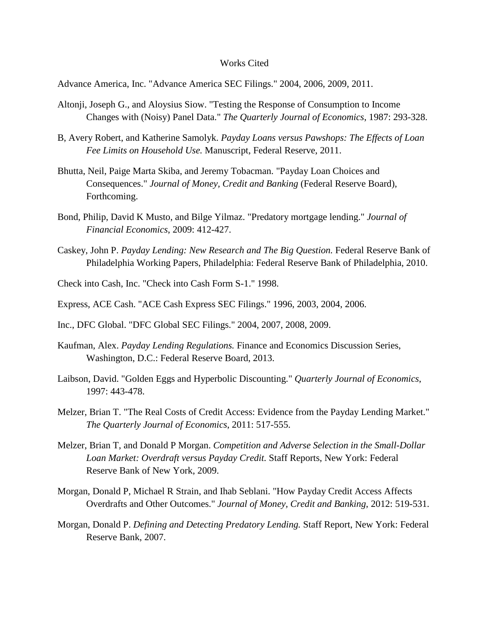#### Works Cited

Advance America, Inc. "Advance America SEC Filings." 2004, 2006, 2009, 2011.

- Altonji, Joseph G., and Aloysius Siow. "Testing the Response of Consumption to Income Changes with (Noisy) Panel Data." *The Quarterly Journal of Economics*, 1987: 293-328.
- B, Avery Robert, and Katherine Samolyk. *Payday Loans versus Pawshops: The Effects of Loan Fee Limits on Household Use.* Manuscript, Federal Reserve, 2011.
- Bhutta, Neil, Paige Marta Skiba, and Jeremy Tobacman. "Payday Loan Choices and Consequences." *Journal of Money, Credit and Banking* (Federal Reserve Board), Forthcoming.
- Bond, Philip, David K Musto, and Bilge Yilmaz. "Predatory mortgage lending." *Journal of Financial Economics*, 2009: 412-427.
- Caskey, John P. *Payday Lending: New Research and The Big Question.* Federal Reserve Bank of Philadelphia Working Papers, Philadelphia: Federal Reserve Bank of Philadelphia, 2010.
- Check into Cash, Inc. "Check into Cash Form S-1." 1998.
- Express, ACE Cash. "ACE Cash Express SEC Filings." 1996, 2003, 2004, 2006.
- Inc., DFC Global. "DFC Global SEC Filings." 2004, 2007, 2008, 2009.
- Kaufman, Alex. *Payday Lending Regulations.* Finance and Economics Discussion Series, Washington, D.C.: Federal Reserve Board, 2013.
- Laibson, David. "Golden Eggs and Hyperbolic Discounting." *Quarterly Journal of Economics*, 1997: 443-478.
- Melzer, Brian T. "The Real Costs of Credit Access: Evidence from the Payday Lending Market." *The Quarterly Journal of Economics*, 2011: 517-555.
- Melzer, Brian T, and Donald P Morgan. *Competition and Adverse Selection in the Small-Dollar Loan Market: Overdraft versus Payday Credit.* Staff Reports, New York: Federal Reserve Bank of New York, 2009.
- Morgan, Donald P, Michael R Strain, and Ihab Seblani. "How Payday Credit Access Affects Overdrafts and Other Outcomes." *Journal of Money, Credit and Banking*, 2012: 519-531.
- Morgan, Donald P. *Defining and Detecting Predatory Lending.* Staff Report, New York: Federal Reserve Bank, 2007.